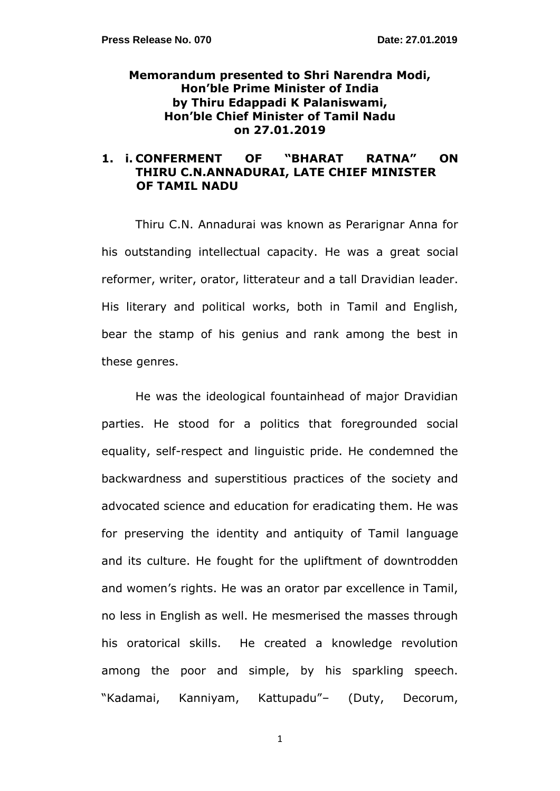# **Memorandum presented to Shri Narendra Modi, Hon"ble Prime Minister of India by Thiru Edappadi K Palaniswami, Hon"ble Chief Minister of Tamil Nadu on 27.01.2019**

# **1. i. CONFERMENT OF "BHARAT RATNA" ON THIRU C.N.ANNADURAI, LATE CHIEF MINISTER OF TAMIL NADU**

Thiru C.N. Annadurai was known as Perarignar Anna for his outstanding intellectual capacity. He was a great social reformer, writer, orator, litterateur and a tall Dravidian leader. His literary and political works, both in Tamil and English, bear the stamp of his genius and rank among the best in these genres.

He was the ideological fountainhead of major Dravidian parties. He stood for a politics that foregrounded social equality, self-respect and linguistic pride. He condemned the backwardness and superstitious practices of the society and advocated science and education for eradicating them. He was for preserving the identity and antiquity of Tamil language and its culture. He fought for the upliftment of downtrodden and women's rights. He was an orator par excellence in Tamil, no less in English as well. He mesmerised the masses through his oratorical skills. He created a knowledge revolution among the poor and simple, by his sparkling speech. "Kadamai, Kanniyam, Kattupadu"– (Duty, Decorum,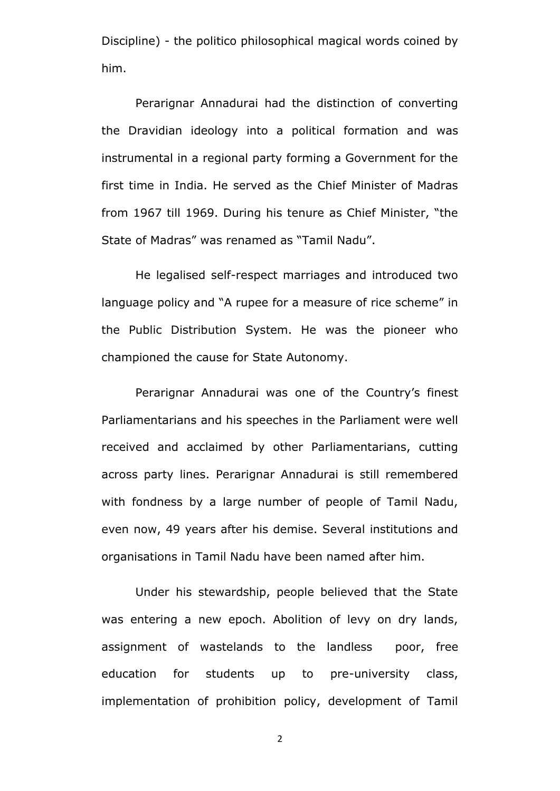Discipline) - the politico philosophical magical words coined by him.

Perarignar Annadurai had the distinction of converting the Dravidian ideology into a political formation and was instrumental in a regional party forming a Government for the first time in India. He served as the Chief Minister of Madras from 1967 till 1969. During his tenure as Chief Minister, "the State of Madras" was renamed as "Tamil Nadu".

He legalised self-respect marriages and introduced two language policy and "A rupee for a measure of rice scheme" in the Public Distribution System. He was the pioneer who championed the cause for State Autonomy.

Perarignar Annadurai was one of the Country's finest Parliamentarians and his speeches in the Parliament were well received and acclaimed by other Parliamentarians, cutting across party lines. Perarignar Annadurai is still remembered with fondness by a large number of people of Tamil Nadu, even now, 49 years after his demise. Several institutions and organisations in Tamil Nadu have been named after him.

Under his stewardship, people believed that the State was entering a new epoch. Abolition of levy on dry lands, assignment of wastelands to the landless poor, free education for students up to pre-university class, implementation of prohibition policy, development of Tamil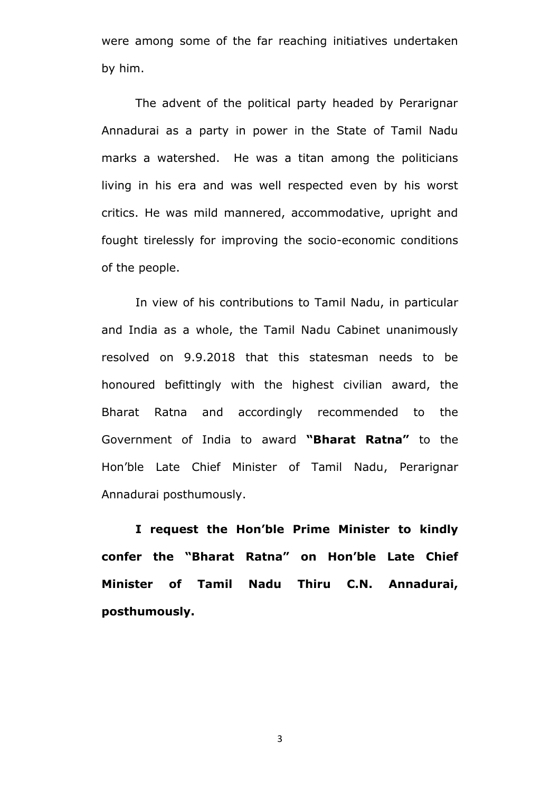were among some of the far reaching initiatives undertaken by him.

The advent of the political party headed by Perarignar Annadurai as a party in power in the State of Tamil Nadu marks a watershed. He was a titan among the politicians living in his era and was well respected even by his worst critics. He was mild mannered, accommodative, upright and fought tirelessly for improving the socio-economic conditions of the people.

In view of his contributions to Tamil Nadu, in particular and India as a whole, the Tamil Nadu Cabinet unanimously resolved on 9.9.2018 that this statesman needs to be honoured befittingly with the highest civilian award, the Bharat Ratna and accordingly recommended to the Government of India to award **"Bharat Ratna"** to the Hon"ble Late Chief Minister of Tamil Nadu, Perarignar Annadurai posthumously.

**I request the Hon"ble Prime Minister to kindly confer the "Bharat Ratna" on Hon"ble Late Chief Minister of Tamil Nadu Thiru C.N. Annadurai, posthumously.**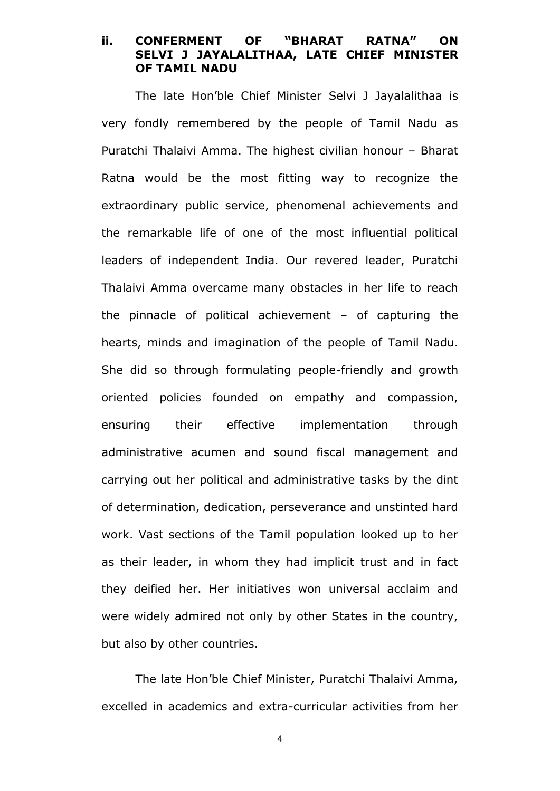## **ii. CONFERMENT OF "BHARAT RATNA" ON SELVI J JAYALALITHAA, LATE CHIEF MINISTER OF TAMIL NADU**

The late Hon"ble Chief Minister Selvi J Jayalalithaa is very fondly remembered by the people of Tamil Nadu as Puratchi Thalaivi Amma. The highest civilian honour – Bharat Ratna would be the most fitting way to recognize the extraordinary public service, phenomenal achievements and the remarkable life of one of the most influential political leaders of independent India. Our revered leader, Puratchi Thalaivi Amma overcame many obstacles in her life to reach the pinnacle of political achievement – of capturing the hearts, minds and imagination of the people of Tamil Nadu. She did so through formulating people-friendly and growth oriented policies founded on empathy and compassion, ensuring their effective implementation through administrative acumen and sound fiscal management and carrying out her political and administrative tasks by the dint of determination, dedication, perseverance and unstinted hard work. Vast sections of the Tamil population looked up to her as their leader, in whom they had implicit trust and in fact they deified her. Her initiatives won universal acclaim and were widely admired not only by other States in the country, but also by other countries.

The late Hon"ble Chief Minister, Puratchi Thalaivi Amma, excelled in academics and extra-curricular activities from her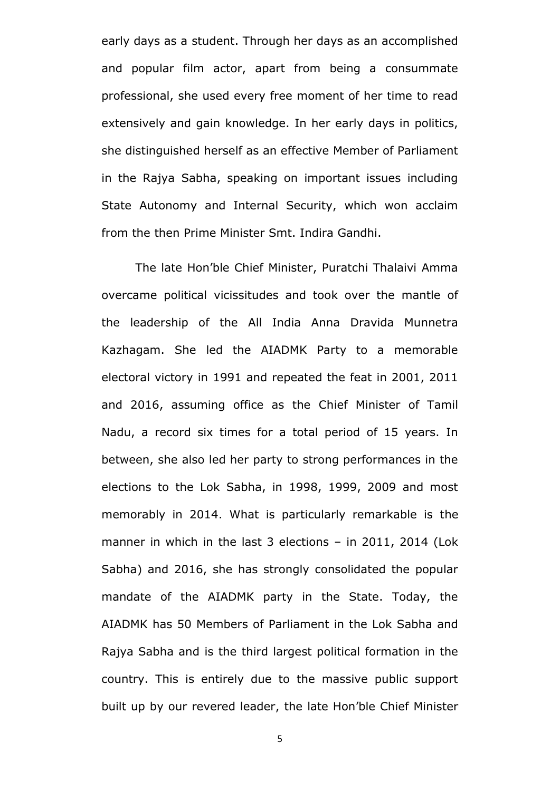early days as a student. Through her days as an accomplished and popular film actor, apart from being a consummate professional, she used every free moment of her time to read extensively and gain knowledge. In her early days in politics, she distinguished herself as an effective Member of Parliament in the Rajya Sabha, speaking on important issues including State Autonomy and Internal Security, which won acclaim from the then Prime Minister Smt. Indira Gandhi.

The late Hon"ble Chief Minister, Puratchi Thalaivi Amma overcame political vicissitudes and took over the mantle of the leadership of the All India Anna Dravida Munnetra Kazhagam. She led the AIADMK Party to a memorable electoral victory in 1991 and repeated the feat in 2001, 2011 and 2016, assuming office as the Chief Minister of Tamil Nadu, a record six times for a total period of 15 years. In between, she also led her party to strong performances in the elections to the Lok Sabha, in 1998, 1999, 2009 and most memorably in 2014. What is particularly remarkable is the manner in which in the last 3 elections – in 2011, 2014 (Lok Sabha) and 2016, she has strongly consolidated the popular mandate of the AIADMK party in the State. Today, the AIADMK has 50 Members of Parliament in the Lok Sabha and Rajya Sabha and is the third largest political formation in the country. This is entirely due to the massive public support built up by our revered leader, the late Hon"ble Chief Minister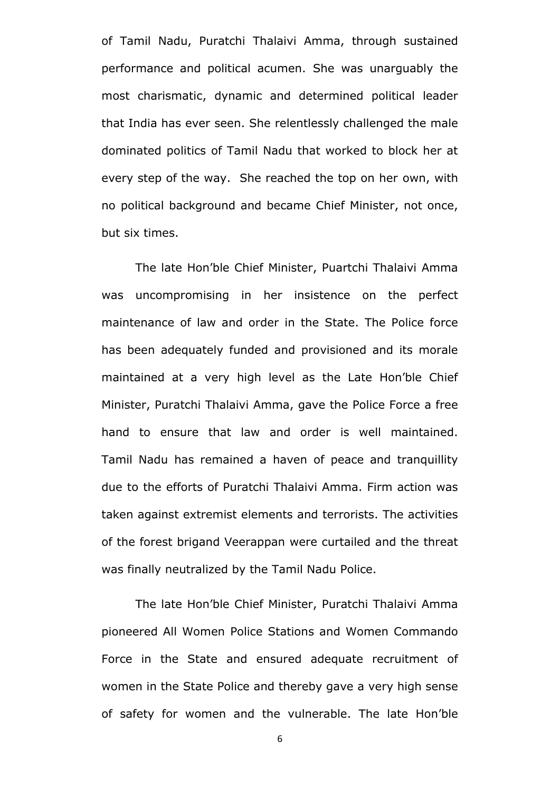of Tamil Nadu, Puratchi Thalaivi Amma, through sustained performance and political acumen. She was unarguably the most charismatic, dynamic and determined political leader that India has ever seen. She relentlessly challenged the male dominated politics of Tamil Nadu that worked to block her at every step of the way. She reached the top on her own, with no political background and became Chief Minister, not once, but six times.

The late Hon"ble Chief Minister, Puartchi Thalaivi Amma was uncompromising in her insistence on the perfect maintenance of law and order in the State. The Police force has been adequately funded and provisioned and its morale maintained at a very high level as the Late Hon"ble Chief Minister, Puratchi Thalaivi Amma, gave the Police Force a free hand to ensure that law and order is well maintained. Tamil Nadu has remained a haven of peace and tranquillity due to the efforts of Puratchi Thalaivi Amma. Firm action was taken against extremist elements and terrorists. The activities of the forest brigand Veerappan were curtailed and the threat was finally neutralized by the Tamil Nadu Police.

The late Hon"ble Chief Minister, Puratchi Thalaivi Amma pioneered All Women Police Stations and Women Commando Force in the State and ensured adequate recruitment of women in the State Police and thereby gave a very high sense of safety for women and the vulnerable. The late Hon"ble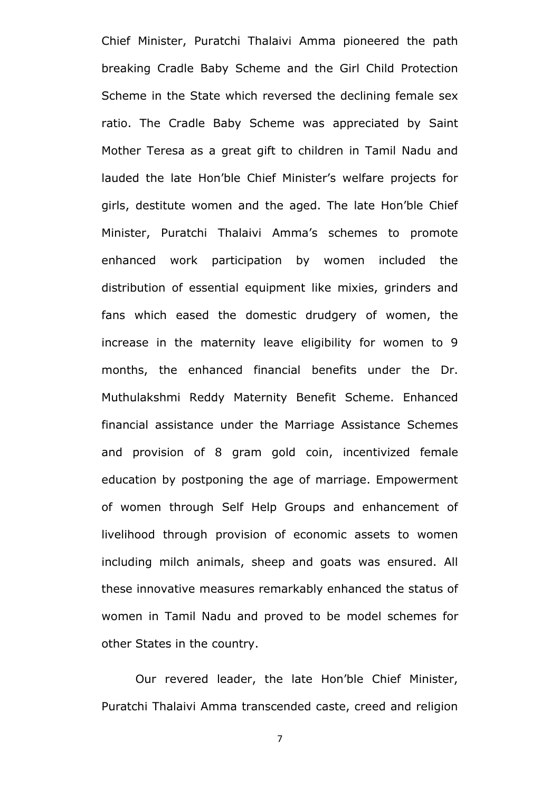Chief Minister, Puratchi Thalaivi Amma pioneered the path breaking Cradle Baby Scheme and the Girl Child Protection Scheme in the State which reversed the declining female sex ratio. The Cradle Baby Scheme was appreciated by Saint Mother Teresa as a great gift to children in Tamil Nadu and lauded the late Hon'ble Chief Minister's welfare projects for girls, destitute women and the aged. The late Hon"ble Chief Minister, Puratchi Thalaivi Amma"s schemes to promote enhanced work participation by women included the distribution of essential equipment like mixies, grinders and fans which eased the domestic drudgery of women, the increase in the maternity leave eligibility for women to 9 months, the enhanced financial benefits under the Dr. Muthulakshmi Reddy Maternity Benefit Scheme. Enhanced financial assistance under the Marriage Assistance Schemes and provision of 8 gram gold coin, incentivized female education by postponing the age of marriage. Empowerment of women through Self Help Groups and enhancement of livelihood through provision of economic assets to women including milch animals, sheep and goats was ensured. All these innovative measures remarkably enhanced the status of women in Tamil Nadu and proved to be model schemes for other States in the country.

Our revered leader, the late Hon"ble Chief Minister, Puratchi Thalaivi Amma transcended caste, creed and religion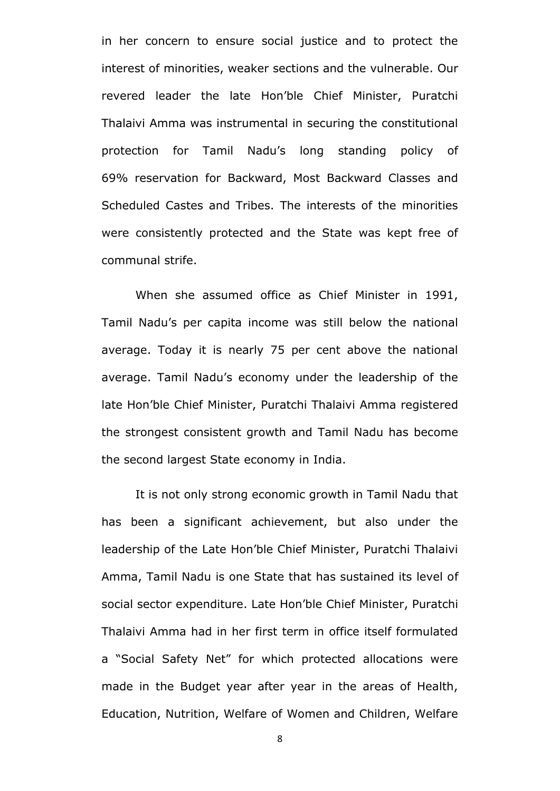in her concern to ensure social justice and to protect the interest of minorities, weaker sections and the vulnerable. Our revered leader the late Hon"ble Chief Minister, Puratchi Thalaivi Amma was instrumental in securing the constitutional protection for Tamil Nadu"s long standing policy of 69% reservation for Backward, Most Backward Classes and Scheduled Castes and Tribes. The interests of the minorities were consistently protected and the State was kept free of communal strife.

When she assumed office as Chief Minister in 1991, Tamil Nadu"s per capita income was still below the national average. Today it is nearly 75 per cent above the national average. Tamil Nadu"s economy under the leadership of the late Hon"ble Chief Minister, Puratchi Thalaivi Amma registered the strongest consistent growth and Tamil Nadu has become the second largest State economy in India.

It is not only strong economic growth in Tamil Nadu that has been a significant achievement, but also under the leadership of the Late Hon"ble Chief Minister, Puratchi Thalaivi Amma, Tamil Nadu is one State that has sustained its level of social sector expenditure. Late Hon"ble Chief Minister, Puratchi Thalaivi Amma had in her first term in office itself formulated a "Social Safety Net" for which protected allocations were made in the Budget year after year in the areas of Health, Education, Nutrition, Welfare of Women and Children, Welfare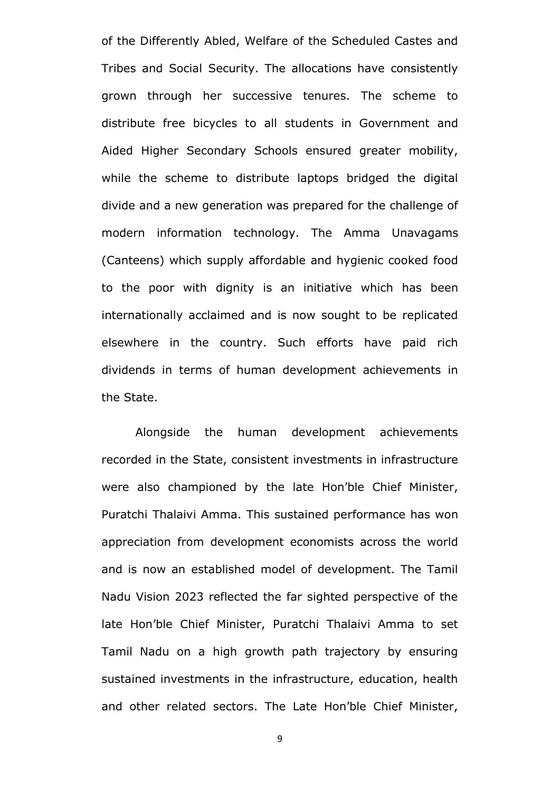of the Differently Abled, Welfare of the Scheduled Castes and Tribes and Social Security. The allocations have consistently grown through her successive tenures. The scheme to distribute free bicycles to all students in Government and Aided Higher Secondary Schools ensured greater mobility, while the scheme to distribute laptops bridged the digital divide and a new generation was prepared for the challenge of modern information technology. The Amma Unavagams (Canteens) which supply affordable and hygienic cooked food to the poor with dignity is an initiative which has been internationally acclaimed and is now sought to be replicated elsewhere in the country. Such efforts have paid rich dividends in terms of human development achievements in the State.

Alongside the human development achievements recorded in the State, consistent investments in infrastructure were also championed by the late Hon"ble Chief Minister, Puratchi Thalaivi Amma. This sustained performance has won appreciation from development economists across the world and is now an established model of development. The Tamil Nadu Vision 2023 reflected the far sighted perspective of the late Hon"ble Chief Minister, Puratchi Thalaivi Amma to set Tamil Nadu on a high growth path trajectory by ensuring sustained investments in the infrastructure, education, health and other related sectors. The Late Hon"ble Chief Minister,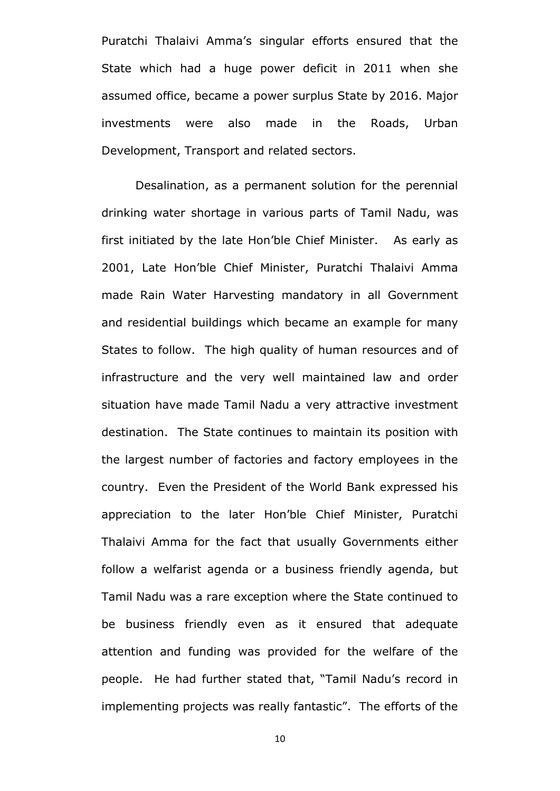Puratchi Thalaivi Amma's singular efforts ensured that the State which had a huge power deficit in 2011 when she assumed office, became a power surplus State by 2016. Major investments were also made in the Roads, Urban Development, Transport and related sectors.

Desalination, as a permanent solution for the perennial drinking water shortage in various parts of Tamil Nadu, was first initiated by the late Hon"ble Chief Minister. As early as 2001, Late Hon"ble Chief Minister, Puratchi Thalaivi Amma made Rain Water Harvesting mandatory in all Government and residential buildings which became an example for many States to follow. The high quality of human resources and of infrastructure and the very well maintained law and order situation have made Tamil Nadu a very attractive investment destination. The State continues to maintain its position with the largest number of factories and factory employees in the country. Even the President of the World Bank expressed his appreciation to the later Hon"ble Chief Minister, Puratchi Thalaivi Amma for the fact that usually Governments either follow a welfarist agenda or a business friendly agenda, but Tamil Nadu was a rare exception where the State continued to be business friendly even as it ensured that adequate attention and funding was provided for the welfare of the people. He had further stated that, "Tamil Nadu"s record in implementing projects was really fantastic". The efforts of the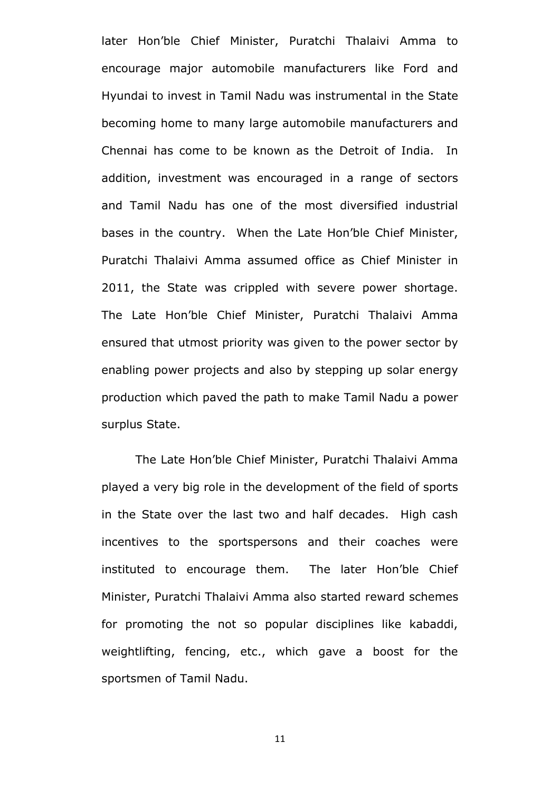later Hon"ble Chief Minister, Puratchi Thalaivi Amma to encourage major automobile manufacturers like Ford and Hyundai to invest in Tamil Nadu was instrumental in the State becoming home to many large automobile manufacturers and Chennai has come to be known as the Detroit of India. In addition, investment was encouraged in a range of sectors and Tamil Nadu has one of the most diversified industrial bases in the country. When the Late Hon"ble Chief Minister, Puratchi Thalaivi Amma assumed office as Chief Minister in 2011, the State was crippled with severe power shortage. The Late Hon"ble Chief Minister, Puratchi Thalaivi Amma ensured that utmost priority was given to the power sector by enabling power projects and also by stepping up solar energy production which paved the path to make Tamil Nadu a power surplus State.

The Late Hon"ble Chief Minister, Puratchi Thalaivi Amma played a very big role in the development of the field of sports in the State over the last two and half decades. High cash incentives to the sportspersons and their coaches were instituted to encourage them. The later Hon"ble Chief Minister, Puratchi Thalaivi Amma also started reward schemes for promoting the not so popular disciplines like kabaddi, weightlifting, fencing, etc., which gave a boost for the sportsmen of Tamil Nadu.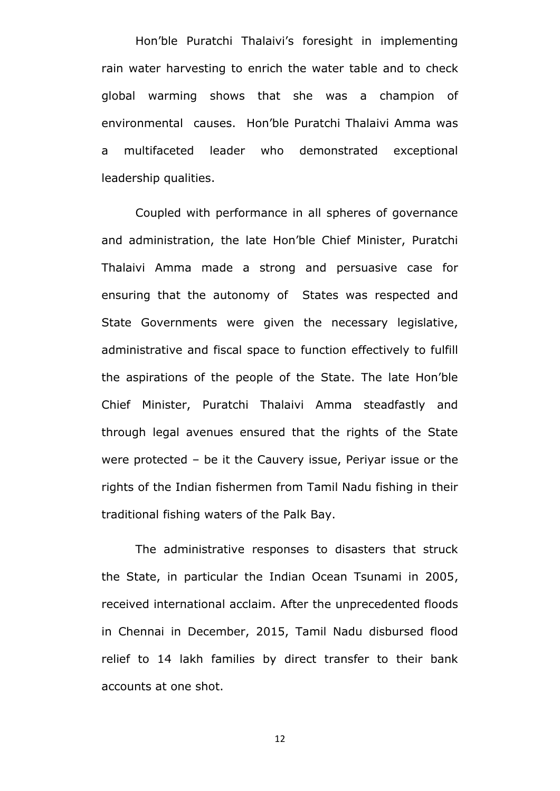Hon'ble Puratchi Thalaivi's foresight in implementing rain water harvesting to enrich the water table and to check global warming shows that she was a champion of environmental causes. Hon"ble Puratchi Thalaivi Amma was a multifaceted leader who demonstrated exceptional leadership qualities.

Coupled with performance in all spheres of governance and administration, the late Hon"ble Chief Minister, Puratchi Thalaivi Amma made a strong and persuasive case for ensuring that the autonomy of States was respected and State Governments were given the necessary legislative, administrative and fiscal space to function effectively to fulfill the aspirations of the people of the State. The late Hon"ble Chief Minister, Puratchi Thalaivi Amma steadfastly and through legal avenues ensured that the rights of the State were protected – be it the Cauvery issue, Periyar issue or the rights of the Indian fishermen from Tamil Nadu fishing in their traditional fishing waters of the Palk Bay.

The administrative responses to disasters that struck the State, in particular the Indian Ocean Tsunami in 2005, received international acclaim. After the unprecedented floods in Chennai in December, 2015, Tamil Nadu disbursed flood relief to 14 lakh families by direct transfer to their bank accounts at one shot.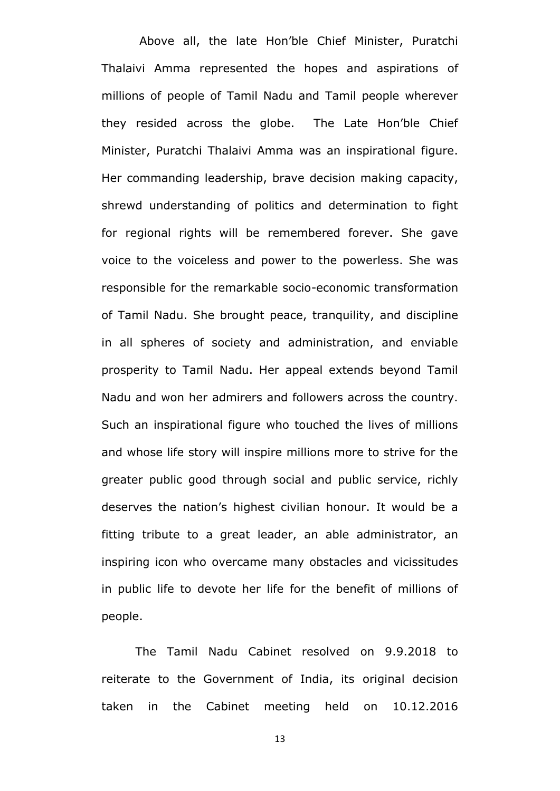Above all, the late Hon"ble Chief Minister, Puratchi Thalaivi Amma represented the hopes and aspirations of millions of people of Tamil Nadu and Tamil people wherever they resided across the globe. The Late Hon"ble Chief Minister, Puratchi Thalaivi Amma was an inspirational figure. Her commanding leadership, brave decision making capacity, shrewd understanding of politics and determination to fight for regional rights will be remembered forever. She gave voice to the voiceless and power to the powerless. She was responsible for the remarkable socio-economic transformation of Tamil Nadu. She brought peace, tranquility, and discipline in all spheres of society and administration, and enviable prosperity to Tamil Nadu. Her appeal extends beyond Tamil Nadu and won her admirers and followers across the country. Such an inspirational figure who touched the lives of millions and whose life story will inspire millions more to strive for the greater public good through social and public service, richly deserves the nation"s highest civilian honour. It would be a fitting tribute to a great leader, an able administrator, an inspiring icon who overcame many obstacles and vicissitudes in public life to devote her life for the benefit of millions of people.

The Tamil Nadu Cabinet resolved on 9.9.2018 to reiterate to the Government of India, its original decision taken in the Cabinet meeting held on 10.12.2016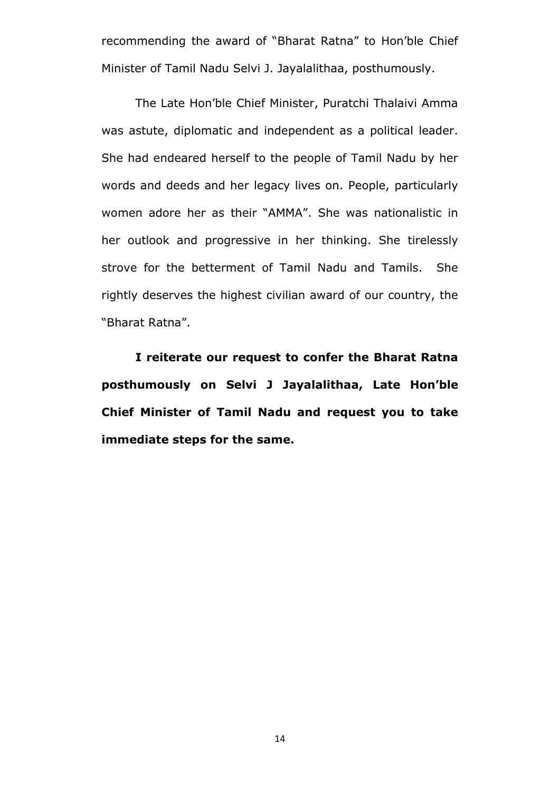recommending the award of "Bharat Ratna" to Hon"ble Chief Minister of Tamil Nadu Selvi J. Jayalalithaa, posthumously.

The Late Hon"ble Chief Minister, Puratchi Thalaivi Amma was astute, diplomatic and independent as a political leader. She had endeared herself to the people of Tamil Nadu by her words and deeds and her legacy lives on. People, particularly women adore her as their "AMMA". She was nationalistic in her outlook and progressive in her thinking. She tirelessly strove for the betterment of Tamil Nadu and Tamils. She rightly deserves the highest civilian award of our country, the "Bharat Ratna".

**I reiterate our request to confer the Bharat Ratna posthumously on Selvi J Jayalalithaa, Late Hon"ble Chief Minister of Tamil Nadu and request you to take immediate steps for the same.**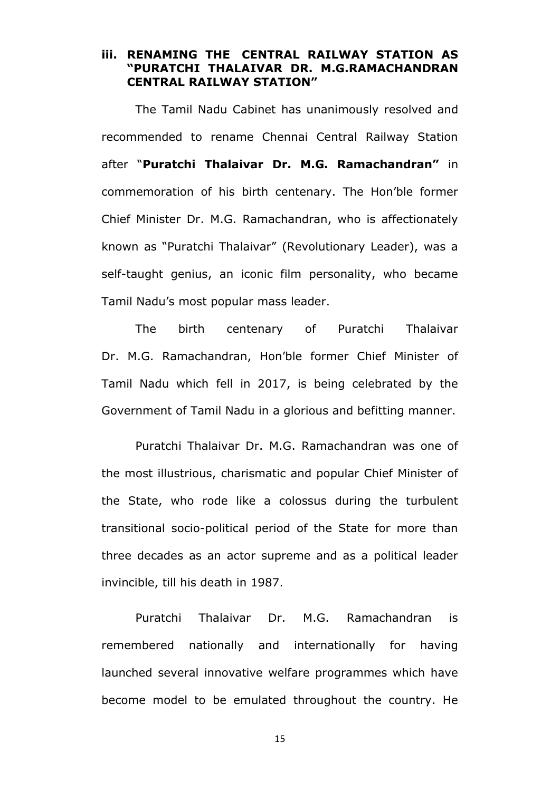**iii. RENAMING THE CENTRAL RAILWAY STATION AS "PURATCHI THALAIVAR DR. M.G.RAMACHANDRAN CENTRAL RAILWAY STATION"** 

The Tamil Nadu Cabinet has unanimously resolved and recommended to rename Chennai Central Railway Station after "**Puratchi Thalaivar Dr. M.G. Ramachandran"** in commemoration of his birth centenary. The Hon"ble former Chief Minister Dr. M.G. Ramachandran, who is affectionately known as "Puratchi Thalaivar" (Revolutionary Leader), was a self-taught genius, an iconic film personality, who became Tamil Nadu"s most popular mass leader.

The birth centenary of Puratchi Thalaivar Dr. M.G. Ramachandran, Hon"ble former Chief Minister of Tamil Nadu which fell in 2017, is being celebrated by the Government of Tamil Nadu in a glorious and befitting manner.

Puratchi Thalaivar Dr. M.G. Ramachandran was one of the most illustrious, charismatic and popular Chief Minister of the State, who rode like a colossus during the turbulent transitional socio-political period of the State for more than three decades as an actor supreme and as a political leader invincible, till his death in 1987.

Puratchi Thalaivar Dr. M.G. Ramachandran is remembered nationally and internationally for having launched several innovative welfare programmes which have become model to be emulated throughout the country. He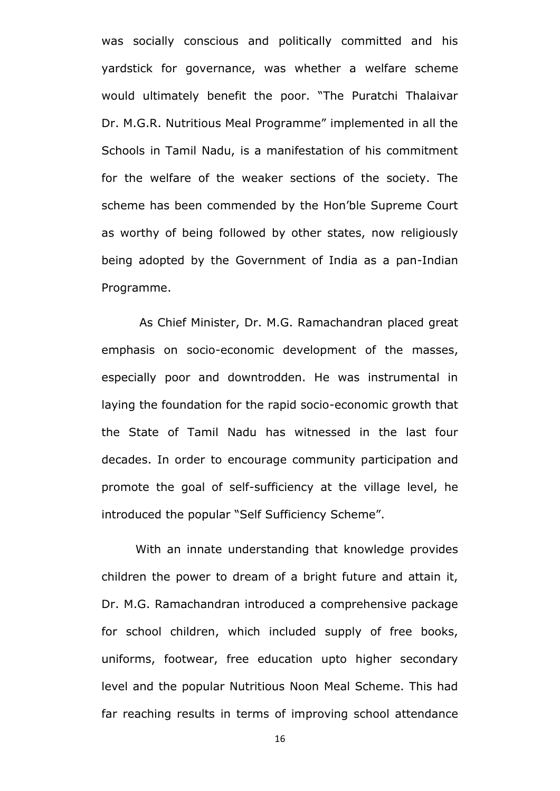was socially conscious and politically committed and his yardstick for governance, was whether a welfare scheme would ultimately benefit the poor. "The Puratchi Thalaivar Dr. M.G.R. Nutritious Meal Programme" implemented in all the Schools in Tamil Nadu, is a manifestation of his commitment for the welfare of the weaker sections of the society. The scheme has been commended by the Hon"ble Supreme Court as worthy of being followed by other states, now religiously being adopted by the Government of India as a pan-Indian Programme.

As Chief Minister, Dr. M.G. Ramachandran placed great emphasis on socio-economic development of the masses, especially poor and downtrodden. He was instrumental in laying the foundation for the rapid socio-economic growth that the State of Tamil Nadu has witnessed in the last four decades. In order to encourage community participation and promote the goal of self-sufficiency at the village level, he introduced the popular "Self Sufficiency Scheme".

With an innate understanding that knowledge provides children the power to dream of a bright future and attain it, Dr. M.G. Ramachandran introduced a comprehensive package for school children, which included supply of free books, uniforms, footwear, free education upto higher secondary level and the popular Nutritious Noon Meal Scheme. This had far reaching results in terms of improving school attendance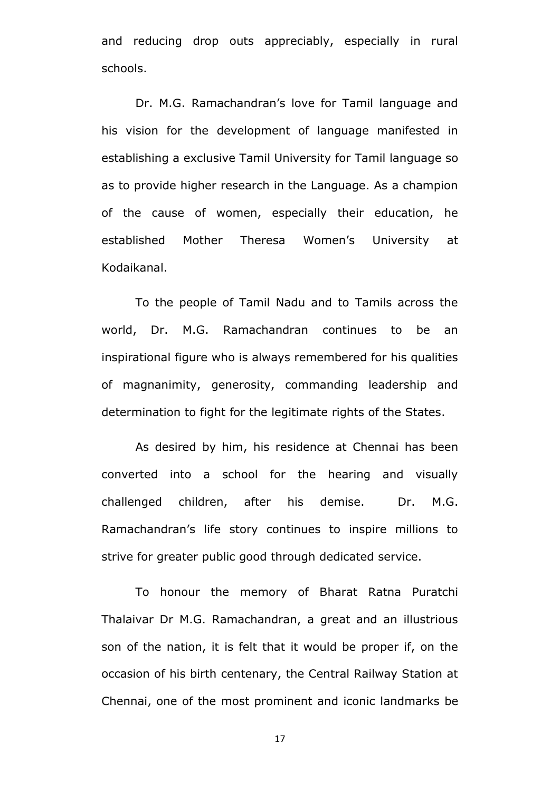and reducing drop outs appreciably, especially in rural schools.

Dr. M.G. Ramachandran's love for Tamil language and his vision for the development of language manifested in establishing a exclusive Tamil University for Tamil language so as to provide higher research in the Language. As a champion of the cause of women, especially their education, he established Mother Theresa Women"s University at Kodaikanal.

To the people of Tamil Nadu and to Tamils across the world, Dr. M.G. Ramachandran continues to be an inspirational figure who is always remembered for his qualities of magnanimity, generosity, commanding leadership and determination to fight for the legitimate rights of the States.

As desired by him, his residence at Chennai has been converted into a school for the hearing and visually challenged children, after his demise. Dr. M.G. Ramachandran"s life story continues to inspire millions to strive for greater public good through dedicated service.

To honour the memory of Bharat Ratna Puratchi Thalaivar Dr M.G. Ramachandran, a great and an illustrious son of the nation, it is felt that it would be proper if, on the occasion of his birth centenary, the Central Railway Station at Chennai, one of the most prominent and iconic landmarks be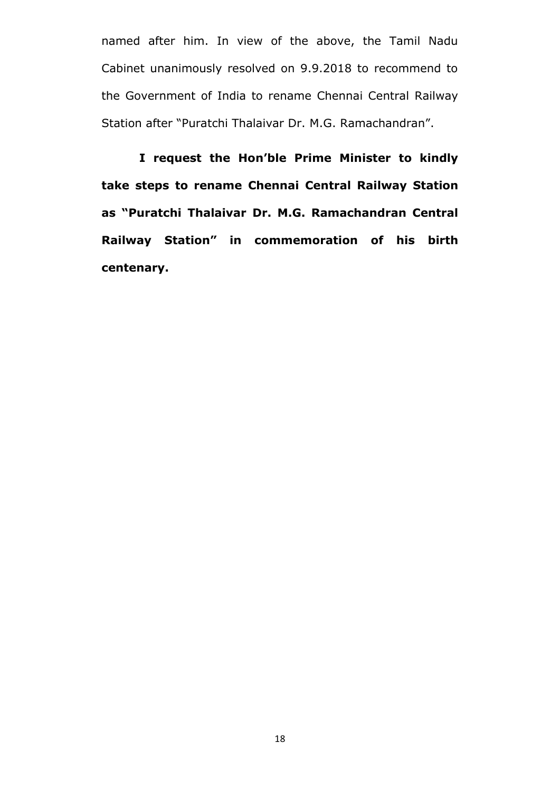named after him. In view of the above, the Tamil Nadu Cabinet unanimously resolved on 9.9.2018 to recommend to the Government of India to rename Chennai Central Railway Station after "Puratchi Thalaivar Dr. M.G. Ramachandran".

**I request the Hon"ble Prime Minister to kindly take steps to rename Chennai Central Railway Station as "Puratchi Thalaivar Dr. M.G. Ramachandran Central Railway Station" in commemoration of his birth centenary.**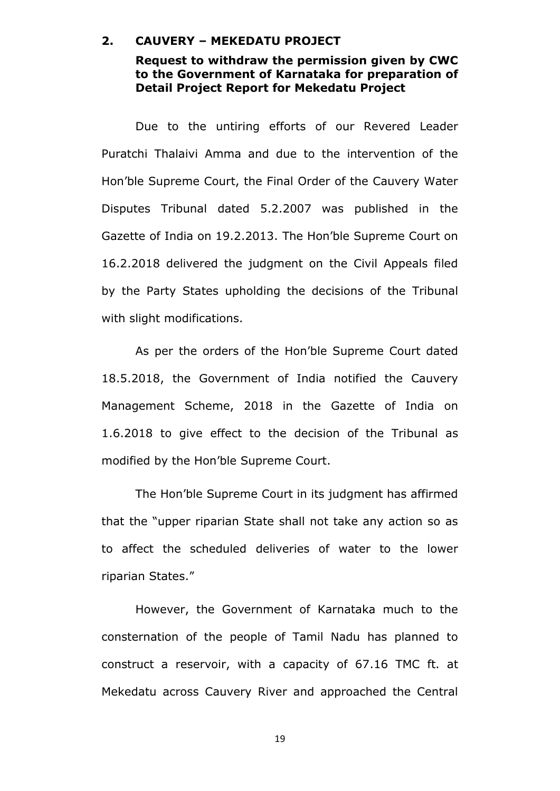### **2. CAUVERY – MEKEDATU PROJECT**

### **Request to withdraw the permission given by CWC to the Government of Karnataka for preparation of Detail Project Report for Mekedatu Project**

Due to the untiring efforts of our Revered Leader Puratchi Thalaivi Amma and due to the intervention of the Hon"ble Supreme Court, the Final Order of the Cauvery Water Disputes Tribunal dated 5.2.2007 was published in the Gazette of India on 19.2.2013. The Hon"ble Supreme Court on 16.2.2018 delivered the judgment on the Civil Appeals filed by the Party States upholding the decisions of the Tribunal with slight modifications.

As per the orders of the Hon"ble Supreme Court dated 18.5.2018, the Government of India notified the Cauvery Management Scheme, 2018 in the Gazette of India on 1.6.2018 to give effect to the decision of the Tribunal as modified by the Hon"ble Supreme Court.

The Hon"ble Supreme Court in its judgment has affirmed that the "upper riparian State shall not take any action so as to affect the scheduled deliveries of water to the lower riparian States."

However, the Government of Karnataka much to the consternation of the people of Tamil Nadu has planned to construct a reservoir, with a capacity of 67.16 TMC ft. at Mekedatu across Cauvery River and approached the Central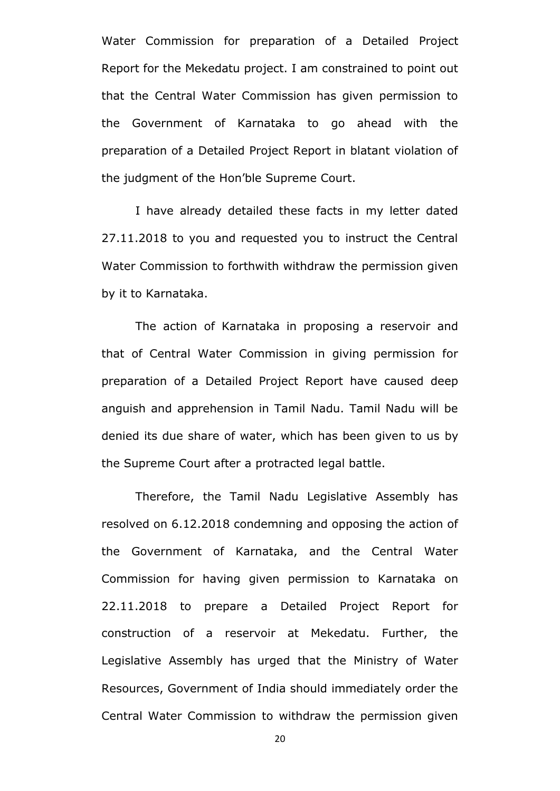Water Commission for preparation of a Detailed Project Report for the Mekedatu project. I am constrained to point out that the Central Water Commission has given permission to the Government of Karnataka to go ahead with the preparation of a Detailed Project Report in blatant violation of the judgment of the Hon"ble Supreme Court.

I have already detailed these facts in my letter dated 27.11.2018 to you and requested you to instruct the Central Water Commission to forthwith withdraw the permission given by it to Karnataka.

The action of Karnataka in proposing a reservoir and that of Central Water Commission in giving permission for preparation of a Detailed Project Report have caused deep anguish and apprehension in Tamil Nadu. Tamil Nadu will be denied its due share of water, which has been given to us by the Supreme Court after a protracted legal battle.

Therefore, the Tamil Nadu Legislative Assembly has resolved on 6.12.2018 condemning and opposing the action of the Government of Karnataka, and the Central Water Commission for having given permission to Karnataka on 22.11.2018 to prepare a Detailed Project Report for construction of a reservoir at Mekedatu. Further, the Legislative Assembly has urged that the Ministry of Water Resources, Government of India should immediately order the Central Water Commission to withdraw the permission given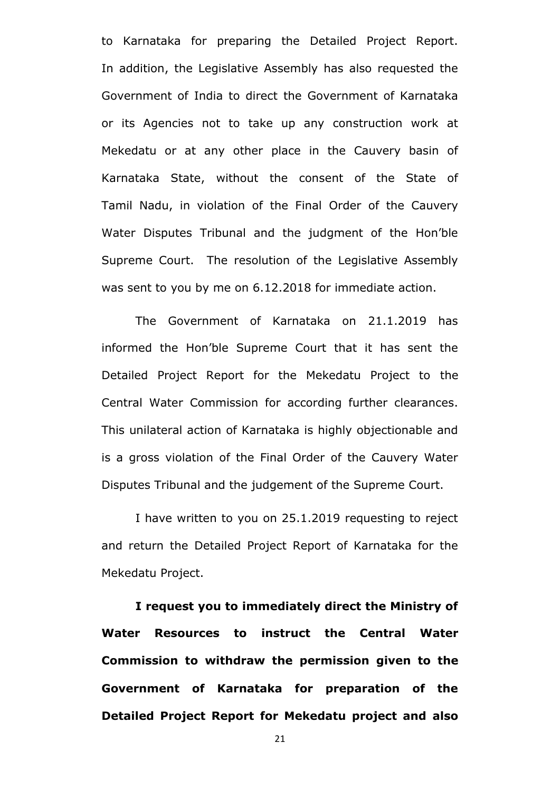to Karnataka for preparing the Detailed Project Report. In addition, the Legislative Assembly has also requested the Government of India to direct the Government of Karnataka or its Agencies not to take up any construction work at Mekedatu or at any other place in the Cauvery basin of Karnataka State, without the consent of the State of Tamil Nadu, in violation of the Final Order of the Cauvery Water Disputes Tribunal and the judgment of the Hon"ble Supreme Court. The resolution of the Legislative Assembly was sent to you by me on 6.12.2018 for immediate action.

The Government of Karnataka on 21.1.2019 has informed the Hon"ble Supreme Court that it has sent the Detailed Project Report for the Mekedatu Project to the Central Water Commission for according further clearances. This unilateral action of Karnataka is highly objectionable and is a gross violation of the Final Order of the Cauvery Water Disputes Tribunal and the judgement of the Supreme Court.

I have written to you on 25.1.2019 requesting to reject and return the Detailed Project Report of Karnataka for the Mekedatu Project.

**I request you to immediately direct the Ministry of Water Resources to instruct the Central Water Commission to withdraw the permission given to the Government of Karnataka for preparation of the Detailed Project Report for Mekedatu project and also**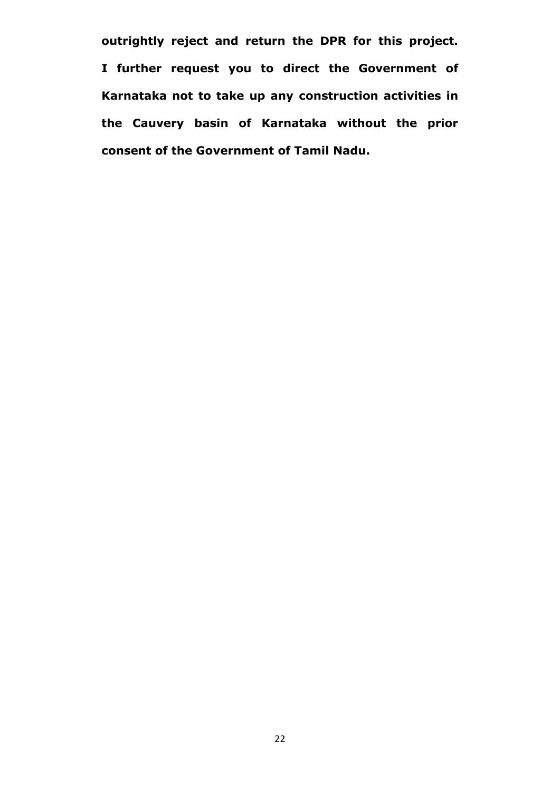**outrightly reject and return the DPR for this project. I further request you to direct the Government of Karnataka not to take up any construction activities in the Cauvery basin of Karnataka without the prior consent of the Government of Tamil Nadu.**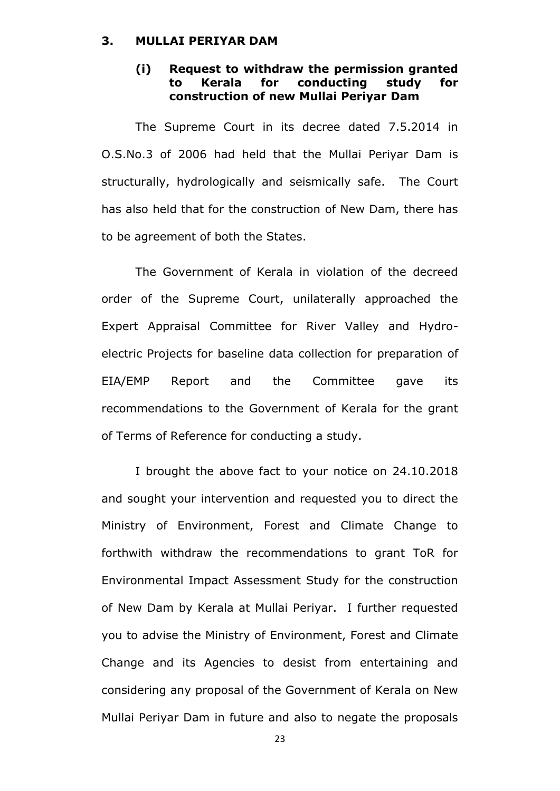### **3. MULLAI PERIYAR DAM**

# **(i) Request to withdraw the permission granted to Kerala for conducting study for construction of new Mullai Periyar Dam**

The Supreme Court in its decree dated 7.5.2014 in O.S.No.3 of 2006 had held that the Mullai Periyar Dam is structurally, hydrologically and seismically safe. The Court has also held that for the construction of New Dam, there has to be agreement of both the States.

The Government of Kerala in violation of the decreed order of the Supreme Court, unilaterally approached the Expert Appraisal Committee for River Valley and Hydroelectric Projects for baseline data collection for preparation of EIA/EMP Report and the Committee gave its recommendations to the Government of Kerala for the grant of Terms of Reference for conducting a study.

I brought the above fact to your notice on 24.10.2018 and sought your intervention and requested you to direct the Ministry of Environment, Forest and Climate Change to forthwith withdraw the recommendations to grant ToR for Environmental Impact Assessment Study for the construction of New Dam by Kerala at Mullai Periyar. I further requested you to advise the Ministry of Environment, Forest and Climate Change and its Agencies to desist from entertaining and considering any proposal of the Government of Kerala on New Mullai Periyar Dam in future and also to negate the proposals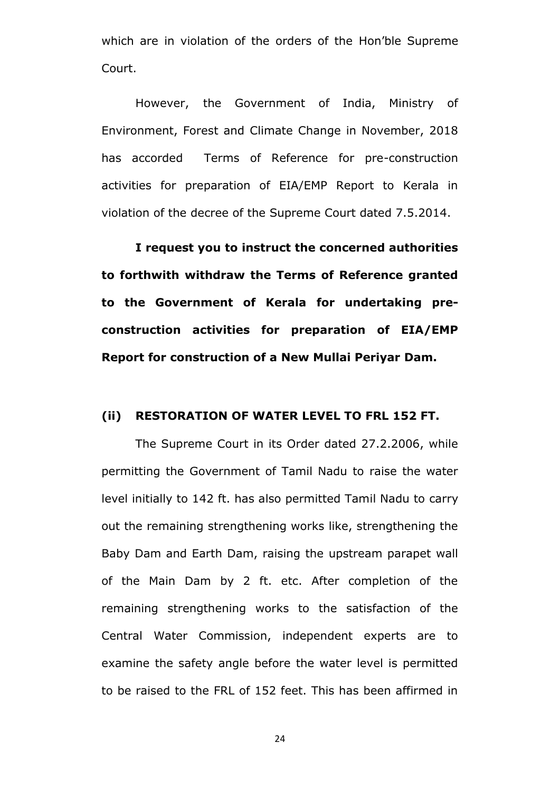which are in violation of the orders of the Hon"ble Supreme Court.

However, the Government of India, Ministry of Environment, Forest and Climate Change in November, 2018 has accorded Terms of Reference for pre-construction activities for preparation of EIA/EMP Report to Kerala in violation of the decree of the Supreme Court dated 7.5.2014.

**I request you to instruct the concerned authorities to forthwith withdraw the Terms of Reference granted to the Government of Kerala for undertaking preconstruction activities for preparation of EIA/EMP Report for construction of a New Mullai Periyar Dam.**

### **(ii) RESTORATION OF WATER LEVEL TO FRL 152 FT.**

The Supreme Court in its Order dated 27.2.2006, while permitting the Government of Tamil Nadu to raise the water level initially to 142 ft. has also permitted Tamil Nadu to carry out the remaining strengthening works like, strengthening the Baby Dam and Earth Dam, raising the upstream parapet wall of the Main Dam by 2 ft. etc. After completion of the remaining strengthening works to the satisfaction of the Central Water Commission, independent experts are to examine the safety angle before the water level is permitted to be raised to the FRL of 152 feet. This has been affirmed in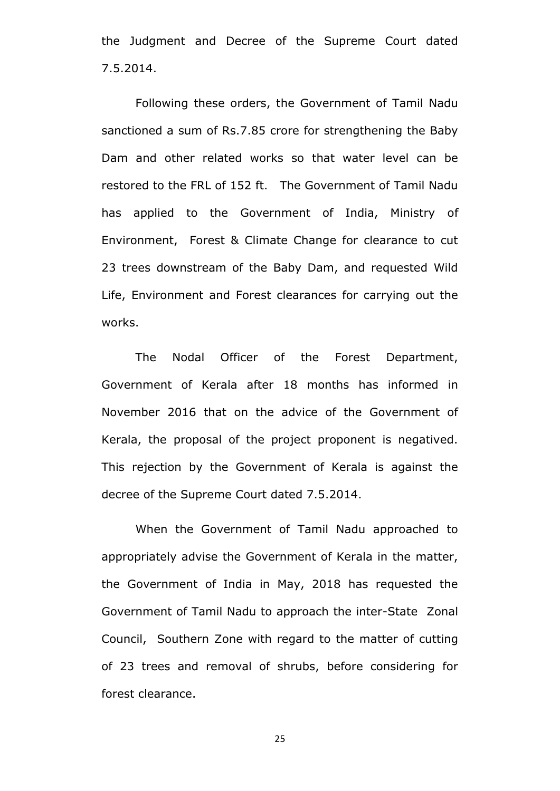the Judgment and Decree of the Supreme Court dated 7.5.2014.

Following these orders, the Government of Tamil Nadu sanctioned a sum of Rs.7.85 crore for strengthening the Baby Dam and other related works so that water level can be restored to the FRL of 152 ft. The Government of Tamil Nadu has applied to the Government of India, Ministry of Environment, Forest & Climate Change for clearance to cut 23 trees downstream of the Baby Dam, and requested Wild Life, Environment and Forest clearances for carrying out the works.

The Nodal Officer of the Forest Department, Government of Kerala after 18 months has informed in November 2016 that on the advice of the Government of Kerala, the proposal of the project proponent is negatived. This rejection by the Government of Kerala is against the decree of the Supreme Court dated 7.5.2014.

When the Government of Tamil Nadu approached to appropriately advise the Government of Kerala in the matter, the Government of India in May, 2018 has requested the Government of Tamil Nadu to approach the inter-State Zonal Council, Southern Zone with regard to the matter of cutting of 23 trees and removal of shrubs, before considering for forest clearance.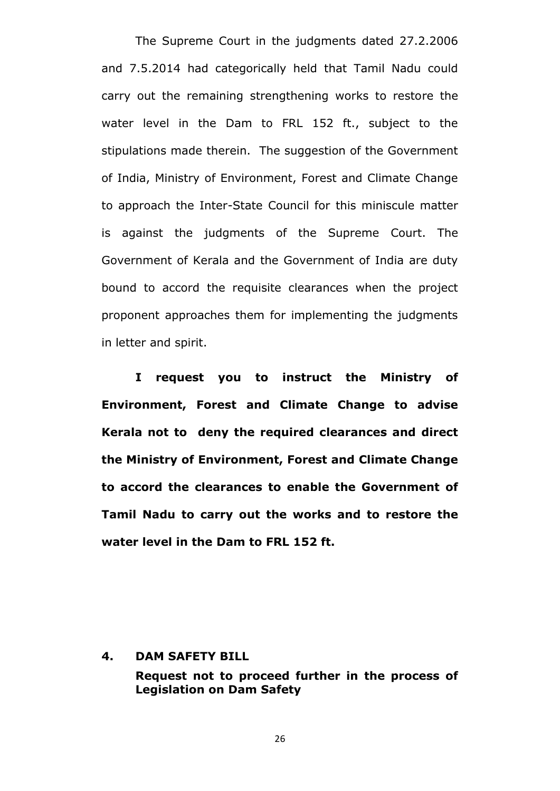The Supreme Court in the judgments dated 27.2.2006 and 7.5.2014 had categorically held that Tamil Nadu could carry out the remaining strengthening works to restore the water level in the Dam to FRL 152 ft., subject to the stipulations made therein. The suggestion of the Government of India, Ministry of Environment, Forest and Climate Change to approach the Inter-State Council for this miniscule matter is against the judgments of the Supreme Court. The Government of Kerala and the Government of India are duty bound to accord the requisite clearances when the project proponent approaches them for implementing the judgments in letter and spirit.

**I request you to instruct the Ministry of Environment, Forest and Climate Change to advise Kerala not to deny the required clearances and direct the Ministry of Environment, Forest and Climate Change to accord the clearances to enable the Government of Tamil Nadu to carry out the works and to restore the water level in the Dam to FRL 152 ft.**

#### **4. DAM SAFETY BILL**

**Request not to proceed further in the process of Legislation on Dam Safety**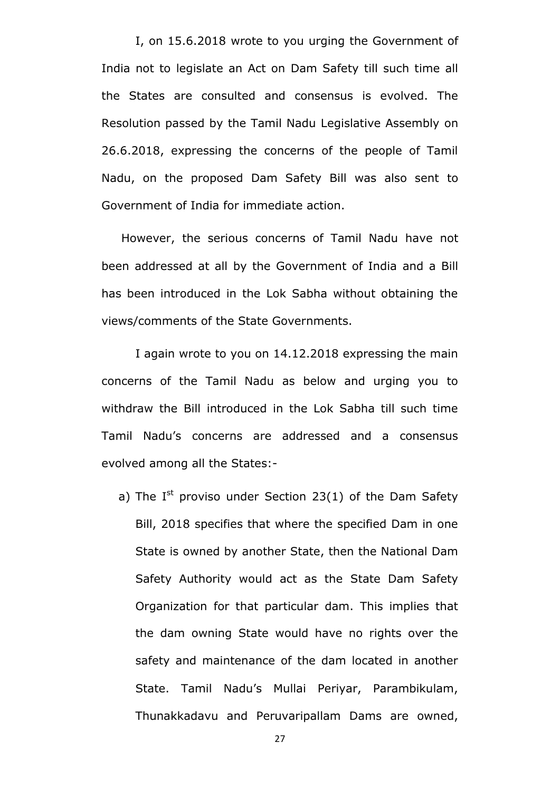I, on 15.6.2018 wrote to you urging the Government of India not to legislate an Act on Dam Safety till such time all the States are consulted and consensus is evolved. The Resolution passed by the Tamil Nadu Legislative Assembly on 26.6.2018, expressing the concerns of the people of Tamil Nadu, on the proposed Dam Safety Bill was also sent to Government of India for immediate action.

 However, the serious concerns of Tamil Nadu have not been addressed at all by the Government of India and a Bill has been introduced in the Lok Sabha without obtaining the views/comments of the State Governments.

I again wrote to you on 14.12.2018 expressing the main concerns of the Tamil Nadu as below and urging you to withdraw the Bill introduced in the Lok Sabha till such time Tamil Nadu"s concerns are addressed and a consensus evolved among all the States:-

a) The  $I^{st}$  proviso under Section 23(1) of the Dam Safety Bill, 2018 specifies that where the specified Dam in one State is owned by another State, then the National Dam Safety Authority would act as the State Dam Safety Organization for that particular dam. This implies that the dam owning State would have no rights over the safety and maintenance of the dam located in another State. Tamil Nadu"s Mullai Periyar, Parambikulam, Thunakkadavu and Peruvaripallam Dams are owned,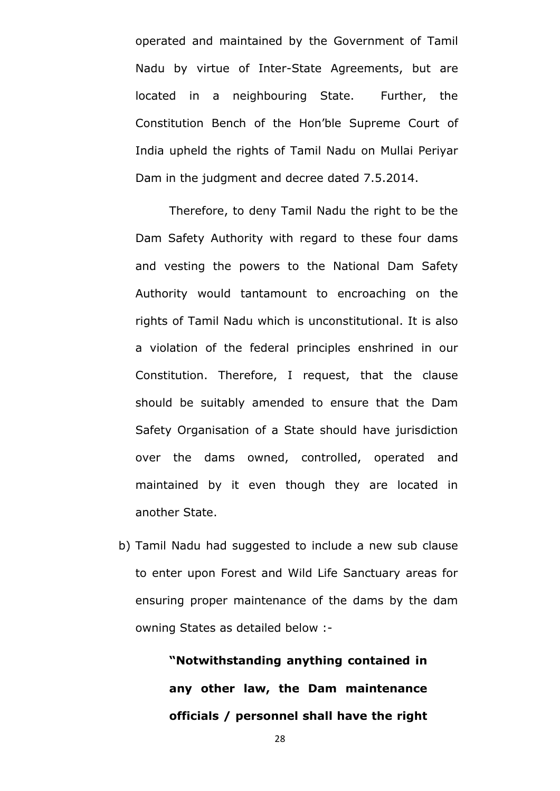operated and maintained by the Government of Tamil Nadu by virtue of Inter-State Agreements, but are located in a neighbouring State. Further, the Constitution Bench of the Hon"ble Supreme Court of India upheld the rights of Tamil Nadu on Mullai Periyar Dam in the judgment and decree dated 7.5.2014.

Therefore, to deny Tamil Nadu the right to be the Dam Safety Authority with regard to these four dams and vesting the powers to the National Dam Safety Authority would tantamount to encroaching on the rights of Tamil Nadu which is unconstitutional. It is also a violation of the federal principles enshrined in our Constitution. Therefore, I request, that the clause should be suitably amended to ensure that the Dam Safety Organisation of a State should have jurisdiction over the dams owned, controlled, operated and maintained by it even though they are located in another State.

b) Tamil Nadu had suggested to include a new sub clause to enter upon Forest and Wild Life Sanctuary areas for ensuring proper maintenance of the dams by the dam owning States as detailed below :-

> **"Notwithstanding anything contained in any other law, the Dam maintenance officials / personnel shall have the right**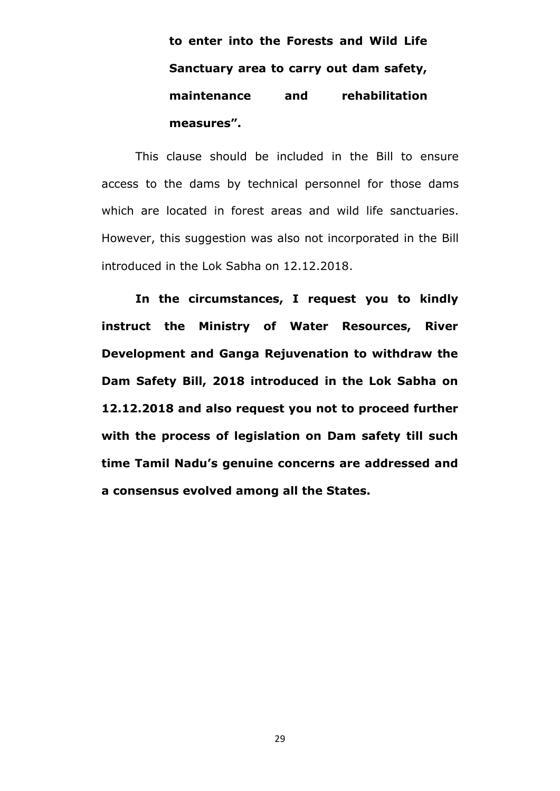**to enter into the Forests and Wild Life Sanctuary area to carry out dam safety, maintenance and rehabilitation measures".**

This clause should be included in the Bill to ensure access to the dams by technical personnel for those dams which are located in forest areas and wild life sanctuaries. However, this suggestion was also not incorporated in the Bill introduced in the Lok Sabha on 12.12.2018.

**In the circumstances, I request you to kindly instruct the Ministry of Water Resources, River Development and Ganga Rejuvenation to withdraw the Dam Safety Bill, 2018 introduced in the Lok Sabha on 12.12.2018 and also request you not to proceed further with the process of legislation on Dam safety till such time Tamil Nadu"s genuine concerns are addressed and a consensus evolved among all the States.**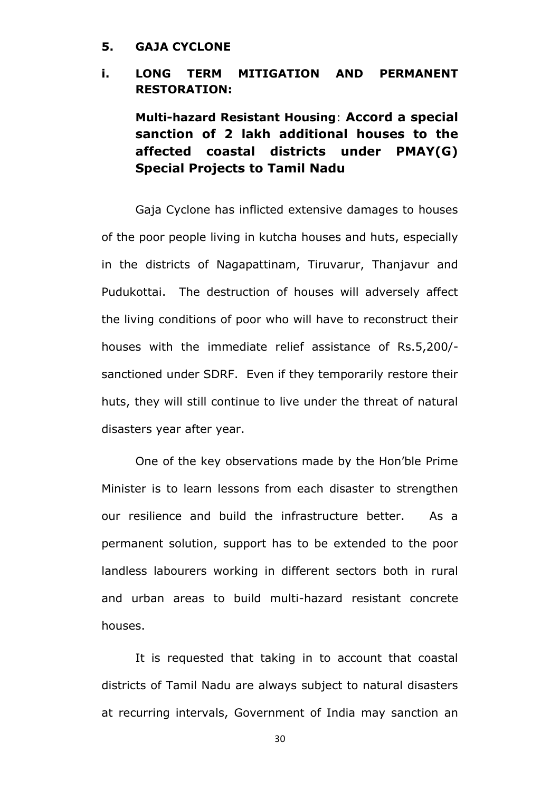### **5. GAJA CYCLONE**

# **i. LONG TERM MITIGATION AND PERMANENT RESTORATION:**

**Multi-hazard Resistant Housing**: **Accord a special sanction of 2 lakh additional houses to the affected coastal districts under PMAY(G) Special Projects to Tamil Nadu**

Gaja Cyclone has inflicted extensive damages to houses of the poor people living in kutcha houses and huts, especially in the districts of Nagapattinam, Tiruvarur, Thanjavur and Pudukottai. The destruction of houses will adversely affect the living conditions of poor who will have to reconstruct their houses with the immediate relief assistance of Rs.5,200/ sanctioned under SDRF. Even if they temporarily restore their huts, they will still continue to live under the threat of natural disasters year after year.

One of the key observations made by the Hon"ble Prime Minister is to learn lessons from each disaster to strengthen our resilience and build the infrastructure better. As a permanent solution, support has to be extended to the poor landless labourers working in different sectors both in rural and urban areas to build multi-hazard resistant concrete houses.

It is requested that taking in to account that coastal districts of Tamil Nadu are always subject to natural disasters at recurring intervals, Government of India may sanction an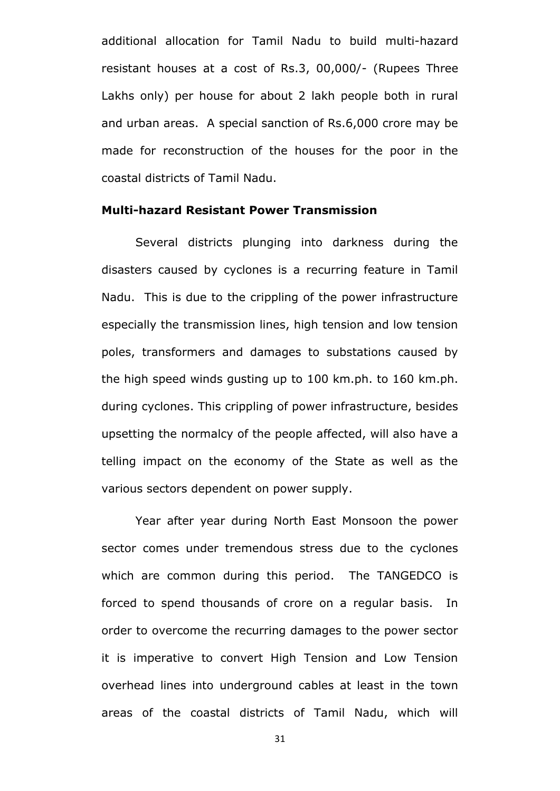additional allocation for Tamil Nadu to build multi-hazard resistant houses at a cost of Rs.3, 00,000/- (Rupees Three Lakhs only) per house for about 2 lakh people both in rural and urban areas. A special sanction of Rs.6,000 crore may be made for reconstruction of the houses for the poor in the coastal districts of Tamil Nadu.

### **Multi-hazard Resistant Power Transmission**

Several districts plunging into darkness during the disasters caused by cyclones is a recurring feature in Tamil Nadu. This is due to the crippling of the power infrastructure especially the transmission lines, high tension and low tension poles, transformers and damages to substations caused by the high speed winds gusting up to 100 km.ph. to 160 km.ph. during cyclones. This crippling of power infrastructure, besides upsetting the normalcy of the people affected, will also have a telling impact on the economy of the State as well as the various sectors dependent on power supply.

Year after year during North East Monsoon the power sector comes under tremendous stress due to the cyclones which are common during this period. The TANGEDCO is forced to spend thousands of crore on a regular basis. In order to overcome the recurring damages to the power sector it is imperative to convert High Tension and Low Tension overhead lines into underground cables at least in the town areas of the coastal districts of Tamil Nadu, which will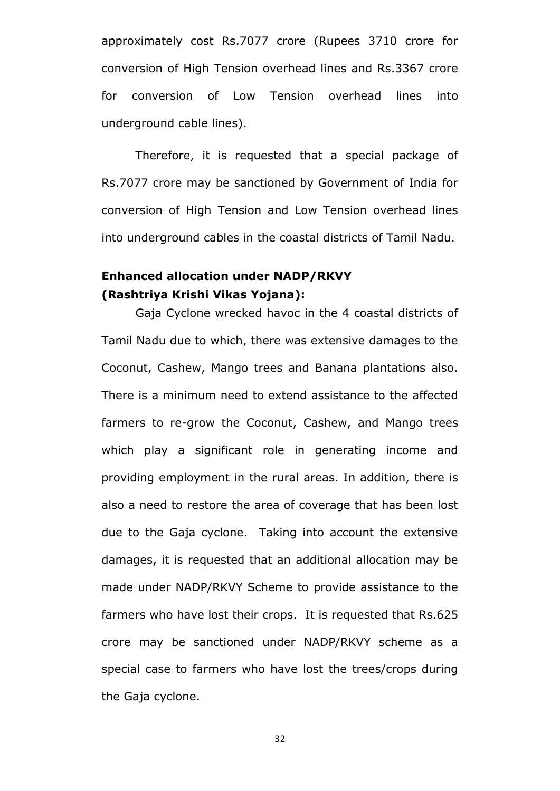approximately cost Rs.7077 crore (Rupees 3710 crore for conversion of High Tension overhead lines and Rs.3367 crore for conversion of Low Tension overhead lines into underground cable lines).

Therefore, it is requested that a special package of Rs.7077 crore may be sanctioned by Government of India for conversion of High Tension and Low Tension overhead lines into underground cables in the coastal districts of Tamil Nadu.

# **Enhanced allocation under NADP/RKVY (Rashtriya Krishi Vikas Yojana):**

Gaja Cyclone wrecked havoc in the 4 coastal districts of Tamil Nadu due to which, there was extensive damages to the Coconut, Cashew, Mango trees and Banana plantations also. There is a minimum need to extend assistance to the affected farmers to re-grow the Coconut, Cashew, and Mango trees which play a significant role in generating income and providing employment in the rural areas. In addition, there is also a need to restore the area of coverage that has been lost due to the Gaja cyclone. Taking into account the extensive damages, it is requested that an additional allocation may be made under NADP/RKVY Scheme to provide assistance to the farmers who have lost their crops. It is requested that Rs.625 crore may be sanctioned under NADP/RKVY scheme as a special case to farmers who have lost the trees/crops during the Gaja cyclone.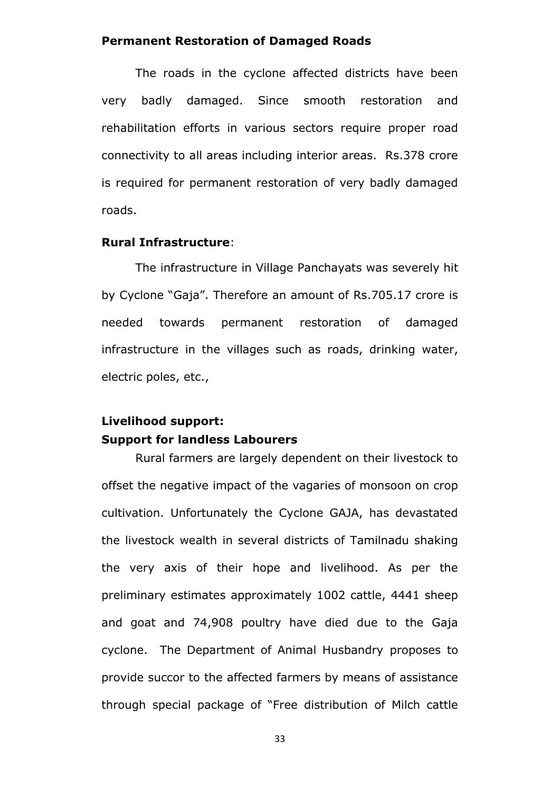### **Permanent Restoration of Damaged Roads**

The roads in the cyclone affected districts have been very badly damaged. Since smooth restoration and rehabilitation efforts in various sectors require proper road connectivity to all areas including interior areas. Rs.378 crore is required for permanent restoration of very badly damaged roads.

# **Rural Infrastructure**:

The infrastructure in Village Panchayats was severely hit by Cyclone "Gaja". Therefore an amount of Rs.705.17 crore is needed towards permanent restoration of damaged infrastructure in the villages such as roads, drinking water, electric poles, etc.,

# **Livelihood support: Support for landless Labourers**

Rural farmers are largely dependent on their livestock to offset the negative impact of the vagaries of monsoon on crop cultivation. Unfortunately the Cyclone GAJA, has devastated the livestock wealth in several districts of Tamilnadu shaking the very axis of their hope and livelihood. As per the preliminary estimates approximately 1002 cattle, 4441 sheep and goat and 74,908 poultry have died due to the Gaja cyclone. The Department of Animal Husbandry proposes to provide succor to the affected farmers by means of assistance through special package of "Free distribution of Milch cattle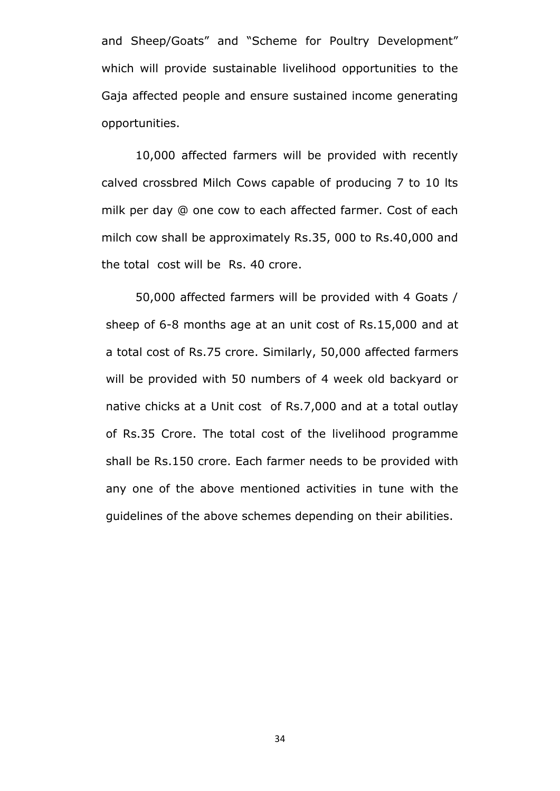and Sheep/Goats" and "Scheme for Poultry Development" which will provide sustainable livelihood opportunities to the Gaja affected people and ensure sustained income generating opportunities.

10,000 affected farmers will be provided with recently calved crossbred Milch Cows capable of producing 7 to 10 lts milk per day @ one cow to each affected farmer. Cost of each milch cow shall be approximately Rs.35, 000 to Rs.40,000 and the total cost will be Rs. 40 crore.

50,000 affected farmers will be provided with 4 Goats / sheep of 6-8 months age at an unit cost of Rs.15,000 and at a total cost of Rs.75 crore. Similarly, 50,000 affected farmers will be provided with 50 numbers of 4 week old backyard or native chicks at a Unit cost of Rs.7,000 and at a total outlay of Rs.35 Crore. The total cost of the livelihood programme shall be Rs.150 crore. Each farmer needs to be provided with any one of the above mentioned activities in tune with the guidelines of the above schemes depending on their abilities.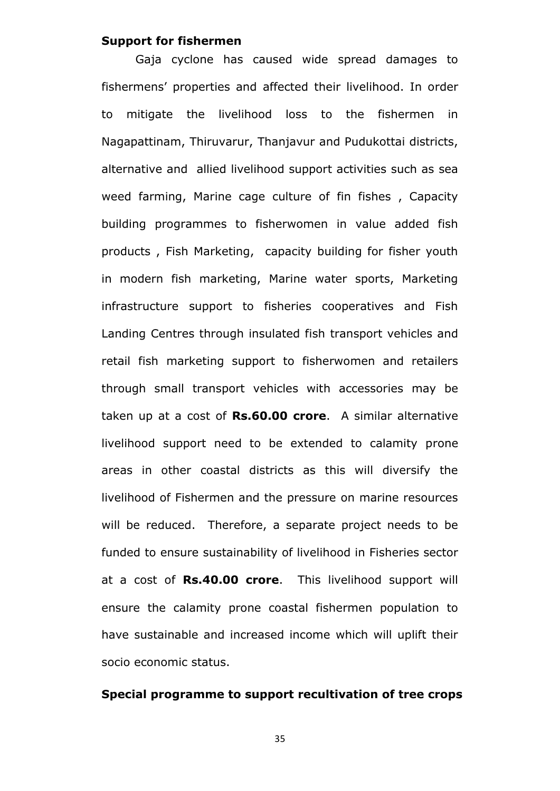### **Support for fishermen**

Gaja cyclone has caused wide spread damages to fishermens' properties and affected their livelihood. In order to mitigate the livelihood loss to the fishermen in Nagapattinam, Thiruvarur, Thanjavur and Pudukottai districts, alternative and allied livelihood support activities such as sea weed farming, Marine cage culture of fin fishes , Capacity building programmes to fisherwomen in value added fish products , Fish Marketing, capacity building for fisher youth in modern fish marketing, Marine water sports, Marketing infrastructure support to fisheries cooperatives and Fish Landing Centres through insulated fish transport vehicles and retail fish marketing support to fisherwomen and retailers through small transport vehicles with accessories may be taken up at a cost of **Rs.60.00 crore**. A similar alternative livelihood support need to be extended to calamity prone areas in other coastal districts as this will diversify the livelihood of Fishermen and the pressure on marine resources will be reduced. Therefore, a separate project needs to be funded to ensure sustainability of livelihood in Fisheries sector at a cost of **Rs.40.00 crore**. This livelihood support will ensure the calamity prone coastal fishermen population to have sustainable and increased income which will uplift their socio economic status.

### **Special programme to support recultivation of tree crops**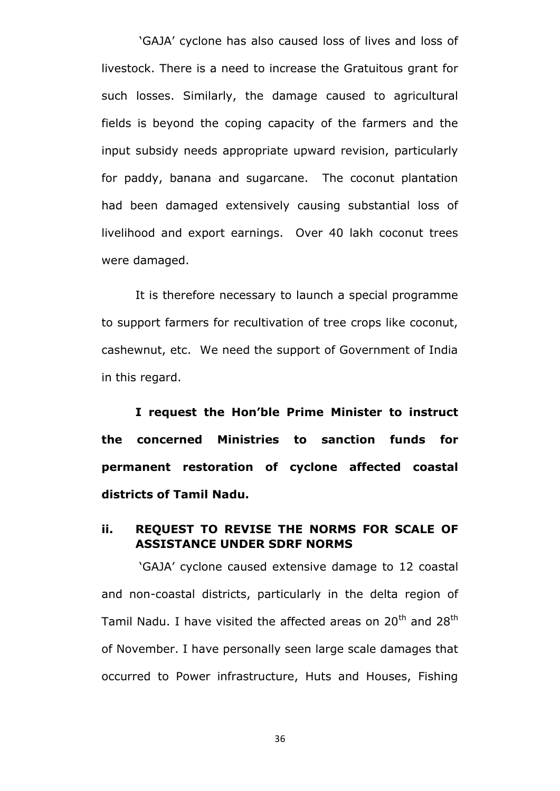"GAJA" cyclone has also caused loss of lives and loss of livestock. There is a need to increase the Gratuitous grant for such losses. Similarly, the damage caused to agricultural fields is beyond the coping capacity of the farmers and the input subsidy needs appropriate upward revision, particularly for paddy, banana and sugarcane. The coconut plantation had been damaged extensively causing substantial loss of livelihood and export earnings. Over 40 lakh coconut trees were damaged.

It is therefore necessary to launch a special programme to support farmers for recultivation of tree crops like coconut, cashewnut, etc. We need the support of Government of India in this regard.

**I request the Hon"ble Prime Minister to instruct the concerned Ministries to sanction funds for permanent restoration of cyclone affected coastal districts of Tamil Nadu.** 

# **ii. REQUEST TO REVISE THE NORMS FOR SCALE OF ASSISTANCE UNDER SDRF NORMS**

"GAJA" cyclone caused extensive damage to 12 coastal and non-coastal districts, particularly in the delta region of Tamil Nadu. I have visited the affected areas on  $20<sup>th</sup>$  and  $28<sup>th</sup>$ of November. I have personally seen large scale damages that occurred to Power infrastructure, Huts and Houses, Fishing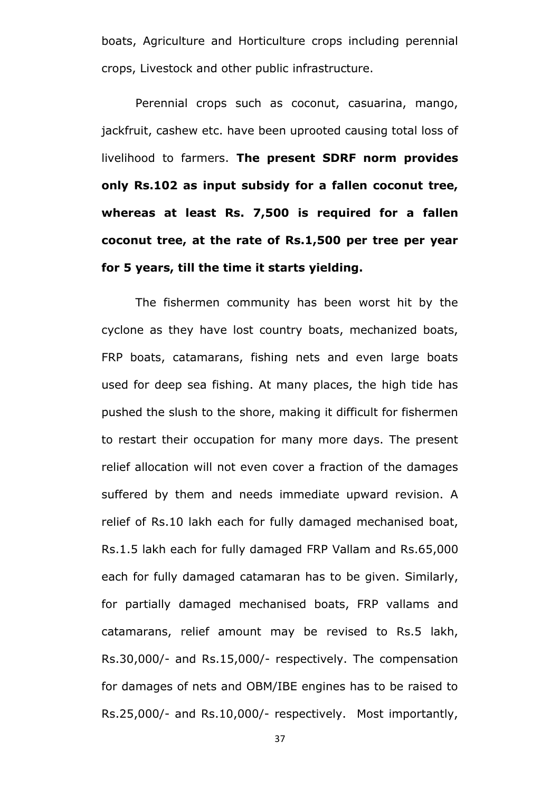boats, Agriculture and Horticulture crops including perennial crops, Livestock and other public infrastructure.

Perennial crops such as coconut, casuarina, mango, jackfruit, cashew etc. have been uprooted causing total loss of livelihood to farmers. **The present SDRF norm provides only Rs.102 as input subsidy for a fallen coconut tree, whereas at least Rs. 7,500 is required for a fallen coconut tree, at the rate of Rs.1,500 per tree per year for 5 years, till the time it starts yielding.**

The fishermen community has been worst hit by the cyclone as they have lost country boats, mechanized boats, FRP boats, catamarans, fishing nets and even large boats used for deep sea fishing. At many places, the high tide has pushed the slush to the shore, making it difficult for fishermen to restart their occupation for many more days. The present relief allocation will not even cover a fraction of the damages suffered by them and needs immediate upward revision. A relief of Rs.10 lakh each for fully damaged mechanised boat, Rs.1.5 lakh each for fully damaged FRP Vallam and Rs.65,000 each for fully damaged catamaran has to be given. Similarly, for partially damaged mechanised boats, FRP vallams and catamarans, relief amount may be revised to Rs.5 lakh, Rs.30,000/- and Rs.15,000/- respectively. The compensation for damages of nets and OBM/IBE engines has to be raised to Rs.25,000/- and Rs.10,000/- respectively. Most importantly,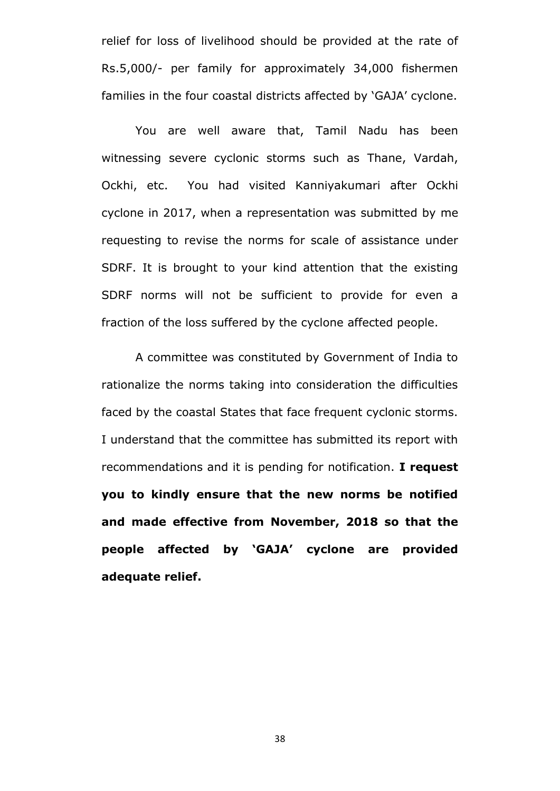relief for loss of livelihood should be provided at the rate of Rs.5,000/- per family for approximately 34,000 fishermen families in the four coastal districts affected by "GAJA" cyclone.

You are well aware that, Tamil Nadu has been witnessing severe cyclonic storms such as Thane, Vardah, Ockhi, etc. You had visited Kanniyakumari after Ockhi cyclone in 2017, when a representation was submitted by me requesting to revise the norms for scale of assistance under SDRF. It is brought to your kind attention that the existing SDRF norms will not be sufficient to provide for even a fraction of the loss suffered by the cyclone affected people.

A committee was constituted by Government of India to rationalize the norms taking into consideration the difficulties faced by the coastal States that face frequent cyclonic storms. I understand that the committee has submitted its report with recommendations and it is pending for notification. **I request you to kindly ensure that the new norms be notified and made effective from November, 2018 so that the people affected by "GAJA" cyclone are provided adequate relief.**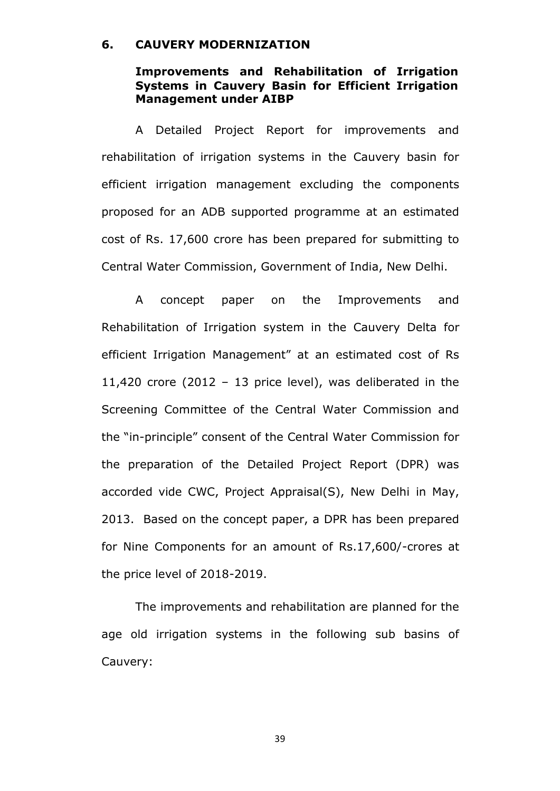#### **6. CAUVERY MODERNIZATION**

## **Improvements and Rehabilitation of Irrigation Systems in Cauvery Basin for Efficient Irrigation Management under AIBP**

A Detailed Project Report for improvements and rehabilitation of irrigation systems in the Cauvery basin for efficient irrigation management excluding the components proposed for an ADB supported programme at an estimated cost of Rs. 17,600 crore has been prepared for submitting to Central Water Commission, Government of India, New Delhi.

A concept paper on the Improvements and Rehabilitation of Irrigation system in the Cauvery Delta for efficient Irrigation Management" at an estimated cost of Rs 11,420 crore (2012 – 13 price level), was deliberated in the Screening Committee of the Central Water Commission and the "in-principle" consent of the Central Water Commission for the preparation of the Detailed Project Report (DPR) was accorded vide CWC, Project Appraisal(S), New Delhi in May, 2013. Based on the concept paper, a DPR has been prepared for Nine Components for an amount of Rs.17,600/-crores at the price level of 2018-2019.

The improvements and rehabilitation are planned for the age old irrigation systems in the following sub basins of Cauvery: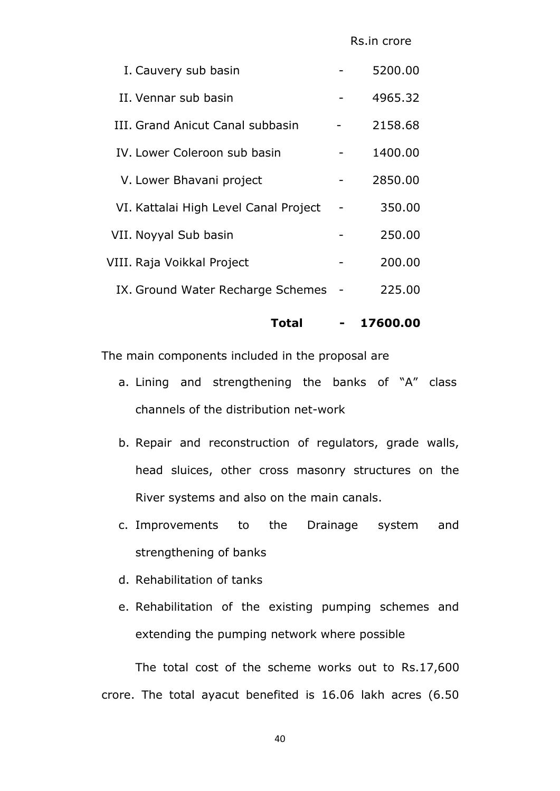| I. Cauvery sub basin                  | 5200.00 |
|---------------------------------------|---------|
| II. Vennar sub basin                  | 4965.32 |
| III. Grand Anicut Canal subbasin      | 2158.68 |
| IV. Lower Coleroon sub basin          | 1400.00 |
| V. Lower Bhavani project              | 2850.00 |
| VI. Kattalai High Level Canal Project | 350.00  |
| VII. Noyyal Sub basin                 | 250.00  |
| VIII. Raja Voikkal Project            | 200.00  |
| IX. Ground Water Recharge Schemes     | 225.00  |
|                                       |         |

 **Total - 17600.00**

The main components included in the proposal are

- a. Lining and strengthening the banks of "A" class channels of the distribution net-work
- b. Repair and reconstruction of regulators, grade walls, head sluices, other cross masonry structures on the River systems and also on the main canals.
- c. Improvements to the Drainage system and strengthening of banks
- d. Rehabilitation of tanks
- e. Rehabilitation of the existing pumping schemes and extending the pumping network where possible

The total cost of the scheme works out to Rs.17,600 crore. The total ayacut benefited is 16.06 lakh acres (6.50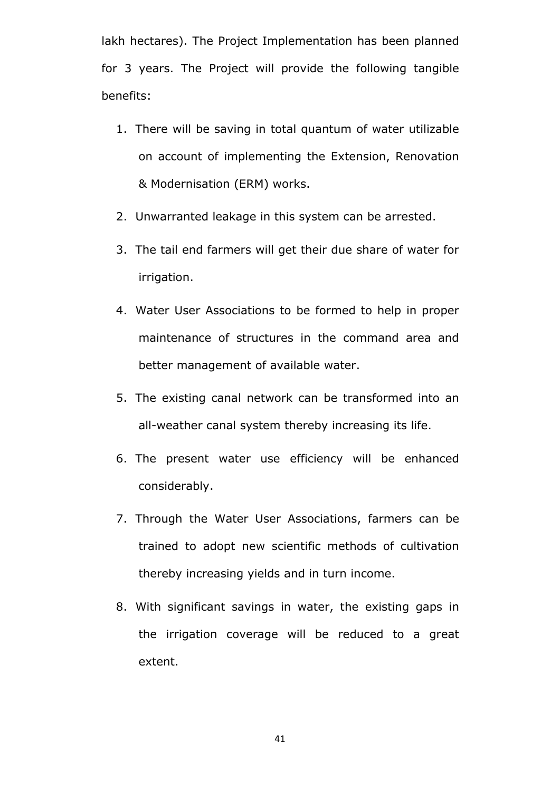lakh hectares). The Project Implementation has been planned for 3 years. The Project will provide the following tangible benefits:

- 1. There will be saving in total quantum of water utilizable on account of implementing the Extension, Renovation & Modernisation (ERM) works.
- 2. Unwarranted leakage in this system can be arrested.
- 3. The tail end farmers will get their due share of water for irrigation.
- 4. Water User Associations to be formed to help in proper maintenance of structures in the command area and better management of available water.
- 5. The existing canal network can be transformed into an all-weather canal system thereby increasing its life.
- 6. The present water use efficiency will be enhanced considerably.
- 7. Through the Water User Associations, farmers can be trained to adopt new scientific methods of cultivation thereby increasing yields and in turn income.
- 8. With significant savings in water, the existing gaps in the irrigation coverage will be reduced to a great extent.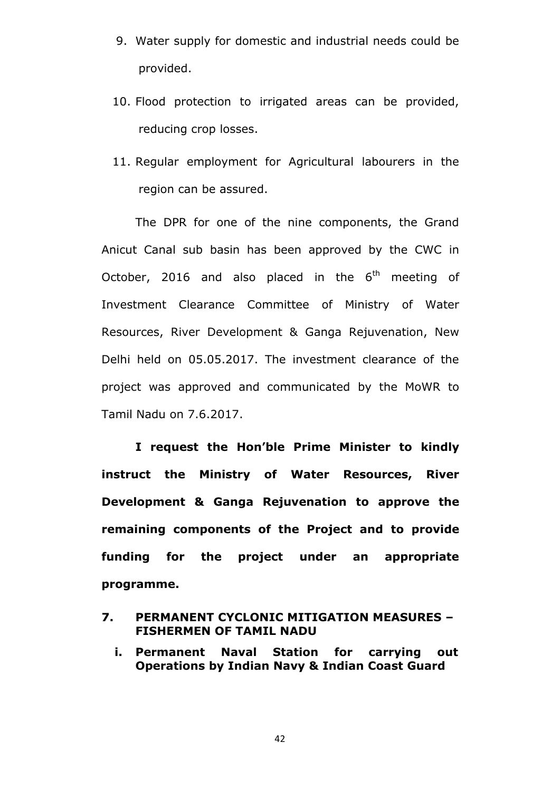- 9. Water supply for domestic and industrial needs could be provided.
- 10. Flood protection to irrigated areas can be provided, reducing crop losses.
- 11. Regular employment for Agricultural labourers in the region can be assured.

The DPR for one of the nine components, the Grand Anicut Canal sub basin has been approved by the CWC in October, 2016 and also placed in the  $6<sup>th</sup>$  meeting of Investment Clearance Committee of Ministry of Water Resources, River Development & Ganga Rejuvenation, New Delhi held on 05.05.2017. The investment clearance of the project was approved and communicated by the MoWR to Tamil Nadu on 7.6.2017.

**I request the Hon"ble Prime Minister to kindly instruct the Ministry of Water Resources, River Development & Ganga Rejuvenation to approve the remaining components of the Project and to provide funding for the project under an appropriate programme.** 

# **7. PERMANENT CYCLONIC MITIGATION MEASURES – FISHERMEN OF TAMIL NADU**

**i. Permanent Naval Station for carrying out Operations by Indian Navy & Indian Coast Guard**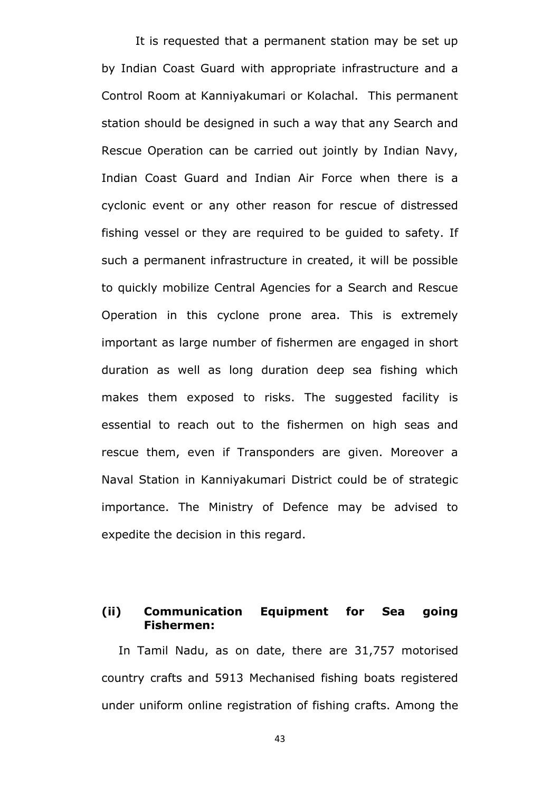It is requested that a permanent station may be set up by Indian Coast Guard with appropriate infrastructure and a Control Room at Kanniyakumari or Kolachal. This permanent station should be designed in such a way that any Search and Rescue Operation can be carried out jointly by Indian Navy, Indian Coast Guard and Indian Air Force when there is a cyclonic event or any other reason for rescue of distressed fishing vessel or they are required to be guided to safety. If such a permanent infrastructure in created, it will be possible to quickly mobilize Central Agencies for a Search and Rescue Operation in this cyclone prone area. This is extremely important as large number of fishermen are engaged in short duration as well as long duration deep sea fishing which makes them exposed to risks. The suggested facility is essential to reach out to the fishermen on high seas and rescue them, even if Transponders are given. Moreover a Naval Station in Kanniyakumari District could be of strategic importance. The Ministry of Defence may be advised to expedite the decision in this regard.

# **(ii) Communication Equipment for Sea going Fishermen:**

In Tamil Nadu, as on date, there are 31,757 motorised country crafts and 5913 Mechanised fishing boats registered under uniform online registration of fishing crafts. Among the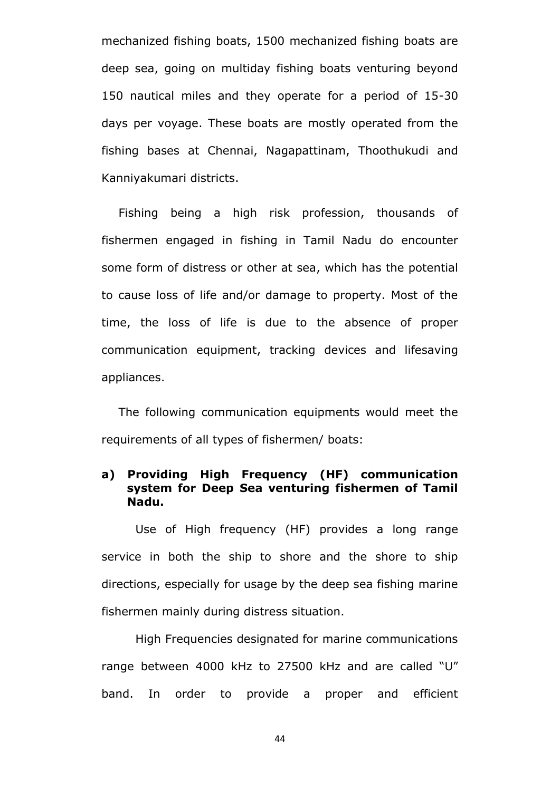mechanized fishing boats, 1500 mechanized fishing boats are deep sea, going on multiday fishing boats venturing beyond 150 nautical miles and they operate for a period of 15-30 days per voyage. These boats are mostly operated from the fishing bases at Chennai, Nagapattinam, Thoothukudi and Kanniyakumari districts.

Fishing being a high risk profession, thousands of fishermen engaged in fishing in Tamil Nadu do encounter some form of distress or other at sea, which has the potential to cause loss of life and/or damage to property. Most of the time, the loss of life is due to the absence of proper communication equipment, tracking devices and lifesaving appliances.

The following communication equipments would meet the requirements of all types of fishermen/ boats:

# **a) Providing High Frequency (HF) communication system for Deep Sea venturing fishermen of Tamil Nadu.**

Use of High frequency (HF) provides a long range service in both the ship to shore and the shore to ship directions, especially for usage by the deep sea fishing marine fishermen mainly during distress situation.

High Frequencies designated for marine communications range between 4000 kHz to 27500 kHz and are called "U" band. In order to provide a proper and efficient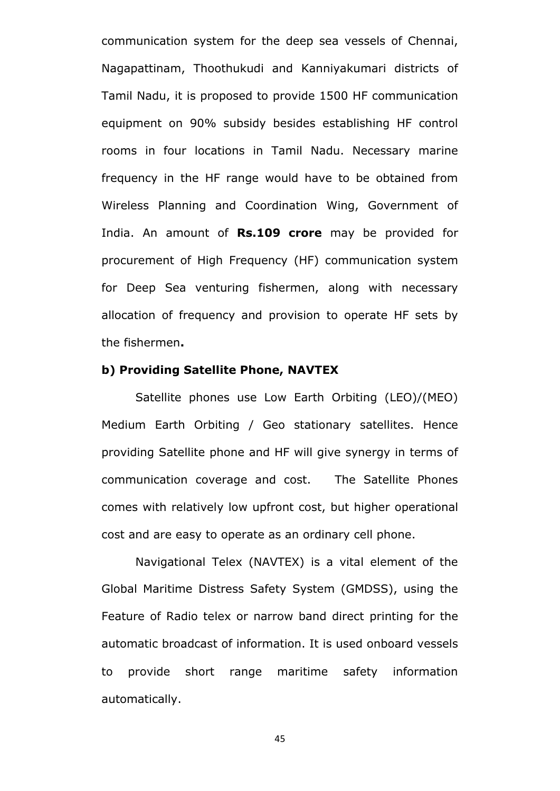communication system for the deep sea vessels of Chennai, Nagapattinam, Thoothukudi and Kanniyakumari districts of Tamil Nadu, it is proposed to provide 1500 HF communication equipment on 90% subsidy besides establishing HF control rooms in four locations in Tamil Nadu. Necessary marine frequency in the HF range would have to be obtained from Wireless Planning and Coordination Wing, Government of India. An amount of **Rs.109 crore** may be provided for procurement of High Frequency (HF) communication system for Deep Sea venturing fishermen, along with necessary allocation of frequency and provision to operate HF sets by the fishermen**.**

### **b) Providing Satellite Phone, NAVTEX**

Satellite phones use Low Earth Orbiting (LEO)/(MEO) Medium Earth Orbiting / Geo stationary satellites. Hence providing Satellite phone and HF will give synergy in terms of communication coverage and cost. The Satellite Phones comes with relatively low upfront cost, but higher operational cost and are easy to operate as an ordinary cell phone.

Navigational Telex (NAVTEX) is a vital element of the Global Maritime Distress Safety System (GMDSS), using the Feature of Radio telex or narrow band direct printing for the automatic broadcast of information. It is used onboard vessels to provide short range maritime safety information automatically.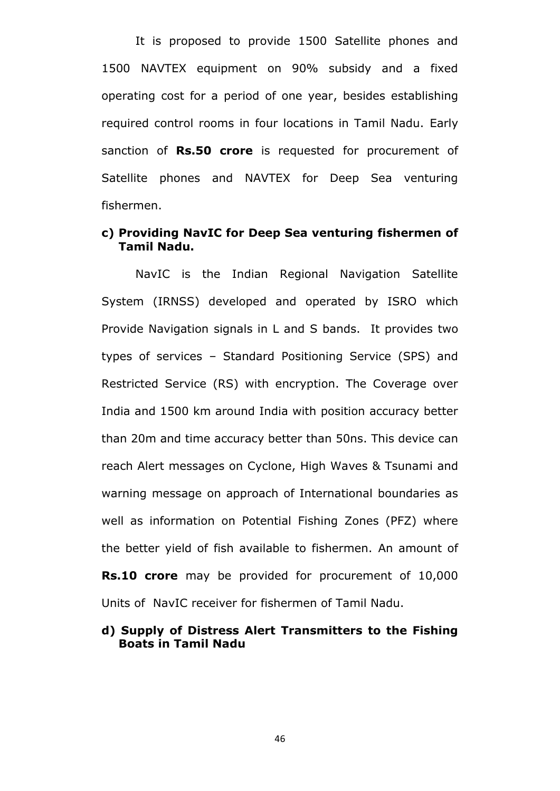It is proposed to provide 1500 Satellite phones and 1500 NAVTEX equipment on 90% subsidy and a fixed operating cost for a period of one year, besides establishing required control rooms in four locations in Tamil Nadu. Early sanction of **Rs.50 crore** is requested for procurement of Satellite phones and NAVTEX for Deep Sea venturing fishermen.

# **c) Providing NavIC for Deep Sea venturing fishermen of Tamil Nadu.**

NavIC is the Indian Regional Navigation Satellite System (IRNSS) developed and operated by ISRO which Provide Navigation signals in L and S bands. It provides two types of services – Standard Positioning Service (SPS) and Restricted Service (RS) with encryption. The Coverage over India and 1500 km around India with position accuracy better than 20m and time accuracy better than 50ns. This device can reach Alert messages on Cyclone, High Waves & Tsunami and warning message on approach of International boundaries as well as information on Potential Fishing Zones (PFZ) where the better yield of fish available to fishermen. An amount of **Rs.10 crore** may be provided for procurement of 10,000 Units of NavIC receiver for fishermen of Tamil Nadu.

## **d) Supply of Distress Alert Transmitters to the Fishing Boats in Tamil Nadu**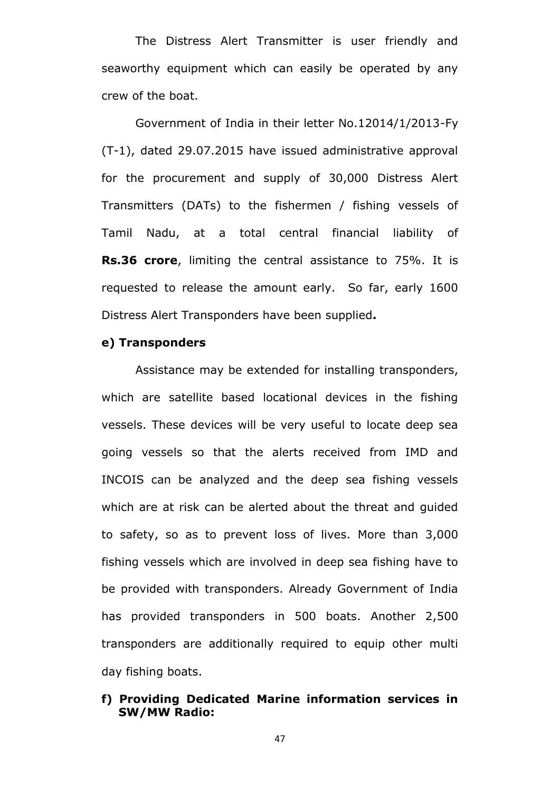The Distress Alert Transmitter is user friendly and seaworthy equipment which can easily be operated by any crew of the boat.

Government of India in their letter No.12014/1/2013-Fy (T-1), dated 29.07.2015 have issued administrative approval for the procurement and supply of 30,000 Distress Alert Transmitters (DATs) to the fishermen / fishing vessels of Tamil Nadu, at a total central financial liability of **Rs.36 crore**, limiting the central assistance to 75%. It is requested to release the amount early. So far, early 1600 Distress Alert Transponders have been supplied**.**

### **e) Transponders**

Assistance may be extended for installing transponders, which are satellite based locational devices in the fishing vessels. These devices will be very useful to locate deep sea going vessels so that the alerts received from IMD and INCOIS can be analyzed and the deep sea fishing vessels which are at risk can be alerted about the threat and guided to safety, so as to prevent loss of lives. More than 3,000 fishing vessels which are involved in deep sea fishing have to be provided with transponders. Already Government of India has provided transponders in 500 boats. Another 2,500 transponders are additionally required to equip other multi day fishing boats.

# **f) Providing Dedicated Marine information services in SW/MW Radio:**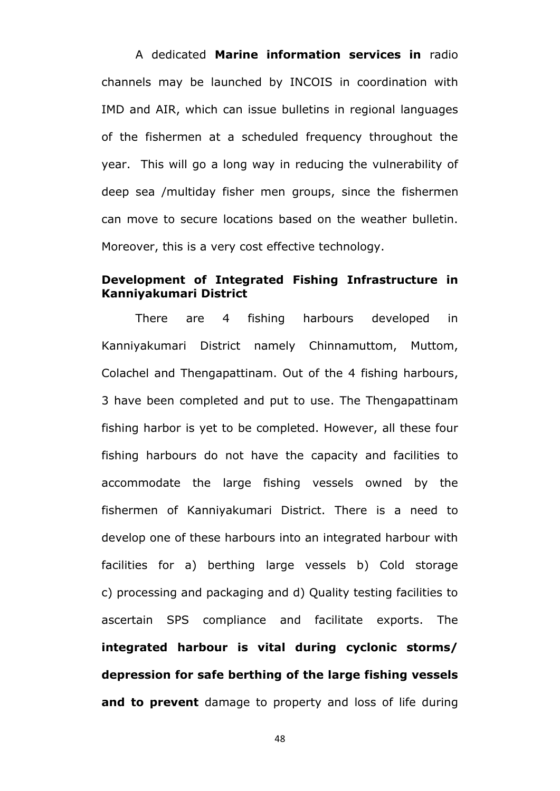A dedicated **Marine information services in** radio channels may be launched by INCOIS in coordination with IMD and AIR, which can issue bulletins in regional languages of the fishermen at a scheduled frequency throughout the year. This will go a long way in reducing the vulnerability of deep sea /multiday fisher men groups, since the fishermen can move to secure locations based on the weather bulletin. Moreover, this is a very cost effective technology.

# **Development of Integrated Fishing Infrastructure in Kanniyakumari District**

There are 4 fishing harbours developed in Kanniyakumari District namely Chinnamuttom, Muttom, Colachel and Thengapattinam. Out of the 4 fishing harbours, 3 have been completed and put to use. The Thengapattinam fishing harbor is yet to be completed. However, all these four fishing harbours do not have the capacity and facilities to accommodate the large fishing vessels owned by the fishermen of Kanniyakumari District. There is a need to develop one of these harbours into an integrated harbour with facilities for a) berthing large vessels b) Cold storage c) processing and packaging and d) Quality testing facilities to ascertain SPS compliance and facilitate exports. The **integrated harbour is vital during cyclonic storms/ depression for safe berthing of the large fishing vessels**  and to prevent damage to property and loss of life during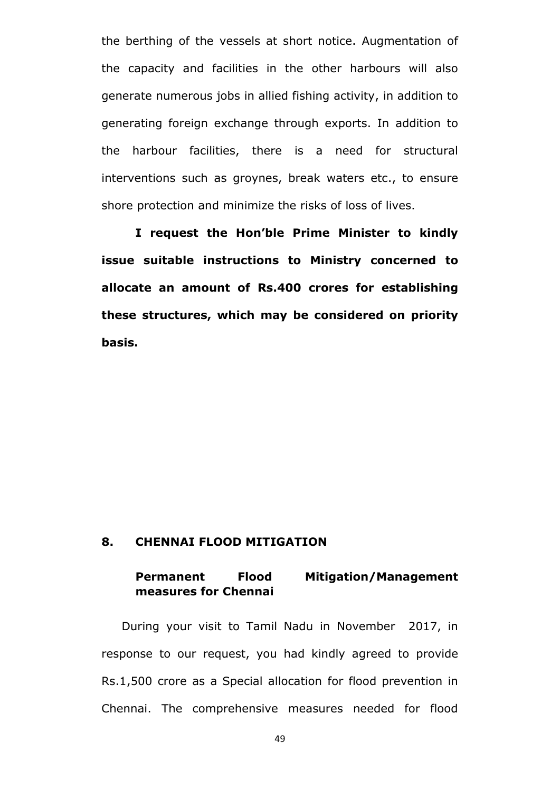the berthing of the vessels at short notice. Augmentation of the capacity and facilities in the other harbours will also generate numerous jobs in allied fishing activity, in addition to generating foreign exchange through exports. In addition to the harbour facilities, there is a need for structural interventions such as groynes, break waters etc., to ensure shore protection and minimize the risks of loss of lives.

**I request the Hon"ble Prime Minister to kindly issue suitable instructions to Ministry concerned to allocate an amount of Rs.400 crores for establishing these structures, which may be considered on priority basis.** 

# **8. CHENNAI FLOOD MITIGATION**

# **Permanent Flood Mitigation/Management measures for Chennai**

During your visit to Tamil Nadu in November 2017, in response to our request, you had kindly agreed to provide Rs.1,500 crore as a Special allocation for flood prevention in Chennai. The comprehensive measures needed for flood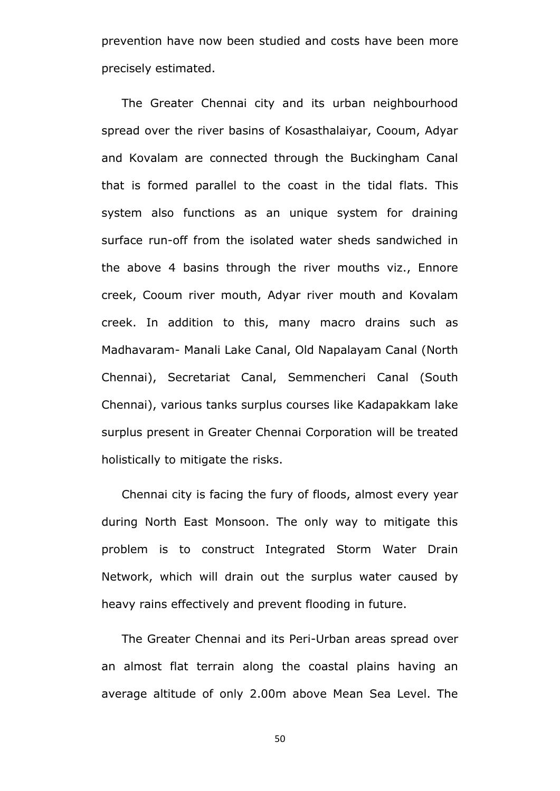prevention have now been studied and costs have been more precisely estimated.

The Greater Chennai city and its urban neighbourhood spread over the river basins of Kosasthalaiyar, Cooum, Adyar and Kovalam are connected through the Buckingham Canal that is formed parallel to the coast in the tidal flats. This system also functions as an unique system for draining surface run-off from the isolated water sheds sandwiched in the above 4 basins through the river mouths viz., Ennore creek, Cooum river mouth, Adyar river mouth and Kovalam creek. In addition to this, many macro drains such as Madhavaram- Manali Lake Canal, Old Napalayam Canal (North Chennai), Secretariat Canal, Semmencheri Canal (South Chennai), various tanks surplus courses like Kadapakkam lake surplus present in Greater Chennai Corporation will be treated holistically to mitigate the risks.

Chennai city is facing the fury of floods, almost every year during North East Monsoon. The only way to mitigate this problem is to construct Integrated Storm Water Drain Network, which will drain out the surplus water caused by heavy rains effectively and prevent flooding in future.

The Greater Chennai and its Peri-Urban areas spread over an almost flat terrain along the coastal plains having an average altitude of only 2.00m above Mean Sea Level. The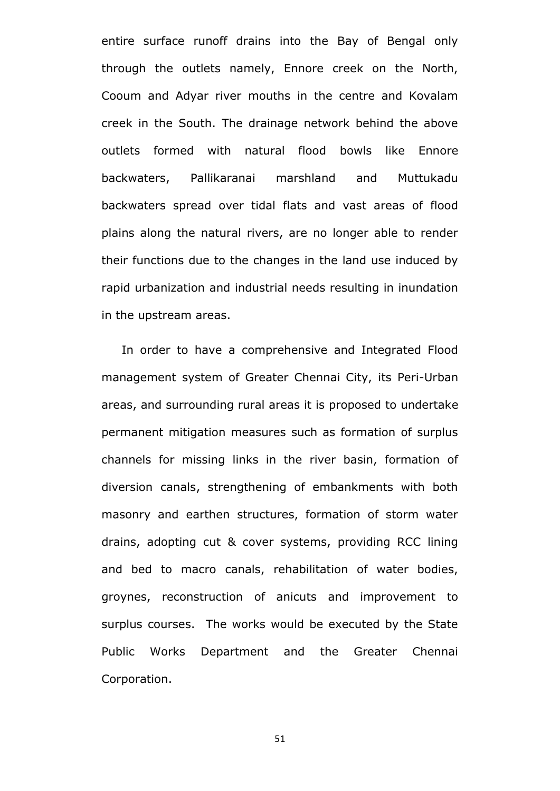entire surface runoff drains into the Bay of Bengal only through the outlets namely, Ennore creek on the North, Cooum and Adyar river mouths in the centre and Kovalam creek in the South. The drainage network behind the above outlets formed with natural flood bowls like Ennore backwaters, Pallikaranai marshland and Muttukadu backwaters spread over tidal flats and vast areas of flood plains along the natural rivers, are no longer able to render their functions due to the changes in the land use induced by rapid urbanization and industrial needs resulting in inundation in the upstream areas.

In order to have a comprehensive and Integrated Flood management system of Greater Chennai City, its Peri-Urban areas, and surrounding rural areas it is proposed to undertake permanent mitigation measures such as formation of surplus channels for missing links in the river basin, formation of diversion canals, strengthening of embankments with both masonry and earthen structures, formation of storm water drains, adopting cut & cover systems, providing RCC lining and bed to macro canals, rehabilitation of water bodies, groynes, reconstruction of anicuts and improvement to surplus courses. The works would be executed by the State Public Works Department and the Greater Chennai Corporation.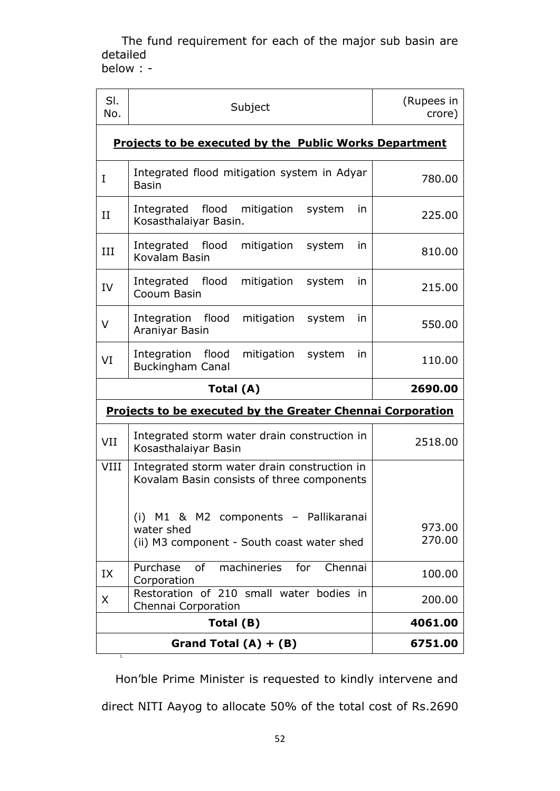The fund requirement for each of the major sub basin are detailed

below : -

| SI.<br>No.                                                                                        | Subject                                                                                    | (Rupees in<br>crore) |  |  |
|---------------------------------------------------------------------------------------------------|--------------------------------------------------------------------------------------------|----------------------|--|--|
|                                                                                                   | <b>Projects to be executed by the Public Works Department</b>                              |                      |  |  |
| I                                                                                                 | Integrated flood mitigation system in Adyar<br><b>Basin</b>                                | 780.00               |  |  |
| $_{\rm II}$                                                                                       | flood<br>Integrated<br>mitigation<br>system<br>in.<br>Kosasthalaiyar Basin.                | 225.00               |  |  |
| III                                                                                               | Integrated flood<br>mitigation<br>system<br>in<br>Kovalam Basin                            | 810.00               |  |  |
| IV                                                                                                | Integrated flood<br>mitigation<br>system<br>in.<br>Cooum Basin                             | 215.00               |  |  |
| v                                                                                                 | Integration flood<br>mitigation<br>system<br>in<br>Araniyar Basin                          | 550.00               |  |  |
| VI                                                                                                | Integration<br>flood<br>mitigation<br>system<br>in<br><b>Buckingham Canal</b>              | 110.00               |  |  |
|                                                                                                   | Total (A)                                                                                  | 2690.00              |  |  |
|                                                                                                   | <b>Projects to be executed by the Greater Chennai Corporation</b>                          |                      |  |  |
| VII                                                                                               | Integrated storm water drain construction in<br>Kosasthalaiyar Basin                       | 2518.00              |  |  |
| VIII                                                                                              | Integrated storm water drain construction in<br>Kovalam Basin consists of three components |                      |  |  |
| (i) M1 & M2 components - Pallikaranai<br>water shed<br>(ii) M3 component - South coast water shed |                                                                                            | 973.00<br>270.00     |  |  |
| IX                                                                                                | Purchase<br>0f<br>machineries<br>for<br>Chennai<br>Corporation                             | 100.00               |  |  |
| Restoration of 210 small water bodies in<br>X<br>Chennai Corporation                              |                                                                                            | 200.00               |  |  |
|                                                                                                   | Total (B)                                                                                  | 4061.00              |  |  |
|                                                                                                   | Grand Total $(A) + (B)$                                                                    | 6751.00              |  |  |

Hon"ble Prime Minister is requested to kindly intervene and direct NITI Aayog to allocate 50% of the total cost of Rs.2690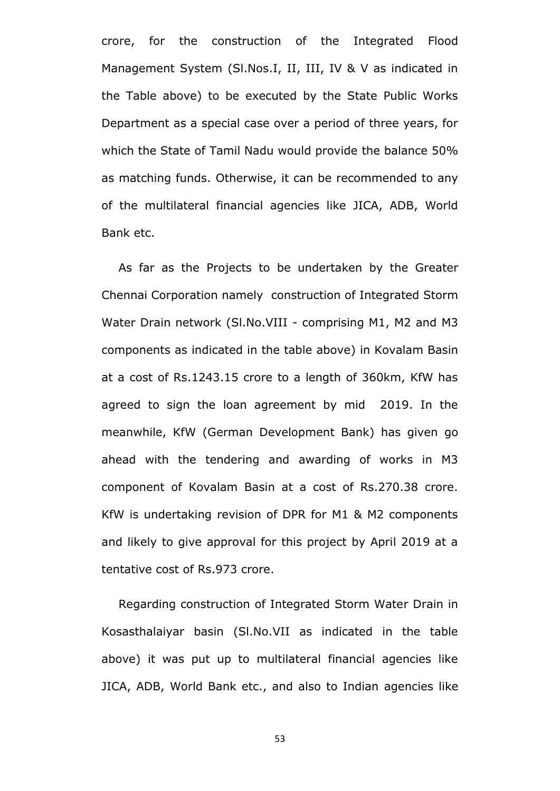crore, for the construction of the Integrated Flood Management System (Sl.Nos.I, II, III, IV & V as indicated in the Table above) to be executed by the State Public Works Department as a special case over a period of three years, for which the State of Tamil Nadu would provide the balance 50% as matching funds. Otherwise, it can be recommended to any of the multilateral financial agencies like JICA, ADB, World Bank etc.

As far as the Projects to be undertaken by the Greater Chennai Corporation namely construction of Integrated Storm Water Drain network (Sl.No.VIII - comprising M1, M2 and M3 components as indicated in the table above) in Kovalam Basin at a cost of Rs.1243.15 crore to a length of 360km, KfW has agreed to sign the loan agreement by mid 2019. In the meanwhile, KfW (German Development Bank) has given go ahead with the tendering and awarding of works in M3 component of Kovalam Basin at a cost of Rs.270.38 crore. KfW is undertaking revision of DPR for M1 & M2 components and likely to give approval for this project by April 2019 at a tentative cost of Rs.973 crore.

Regarding construction of Integrated Storm Water Drain in Kosasthalaiyar basin (Sl.No.VII as indicated in the table above) it was put up to multilateral financial agencies like JICA, ADB, World Bank etc., and also to Indian agencies like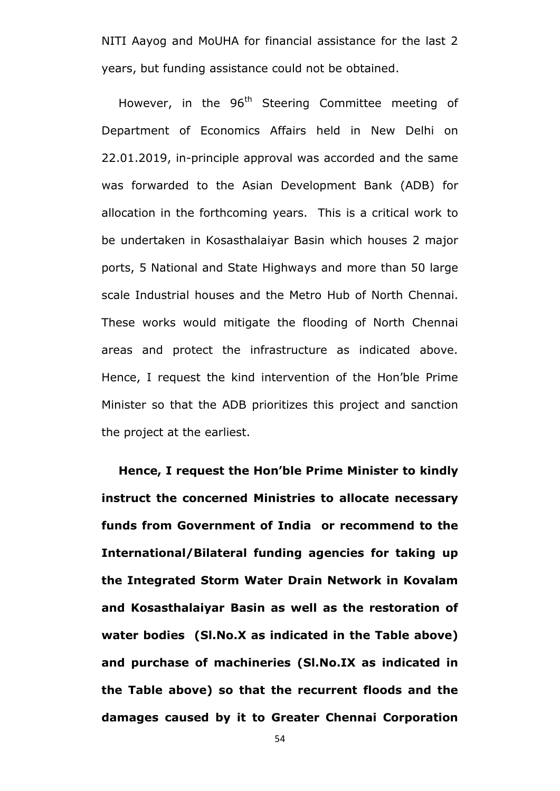NITI Aayog and MoUHA for financial assistance for the last 2 years, but funding assistance could not be obtained.

However, in the 96<sup>th</sup> Steering Committee meeting of Department of Economics Affairs held in New Delhi on 22.01.2019, in-principle approval was accorded and the same was forwarded to the Asian Development Bank (ADB) for allocation in the forthcoming years. This is a critical work to be undertaken in Kosasthalaiyar Basin which houses 2 major ports, 5 National and State Highways and more than 50 large scale Industrial houses and the Metro Hub of North Chennai. These works would mitigate the flooding of North Chennai areas and protect the infrastructure as indicated above. Hence, I request the kind intervention of the Hon"ble Prime Minister so that the ADB prioritizes this project and sanction the project at the earliest.

**Hence, I request the Hon"ble Prime Minister to kindly instruct the concerned Ministries to allocate necessary funds from Government of India or recommend to the International/Bilateral funding agencies for taking up the Integrated Storm Water Drain Network in Kovalam and Kosasthalaiyar Basin as well as the restoration of water bodies (Sl.No.X as indicated in the Table above) and purchase of machineries (Sl.No.IX as indicated in the Table above) so that the recurrent floods and the damages caused by it to Greater Chennai Corporation**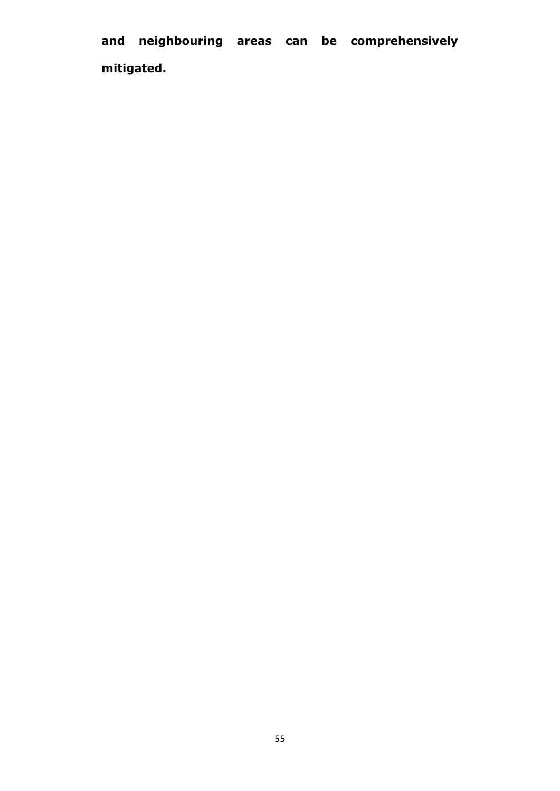**and neighbouring areas can be comprehensively mitigated.**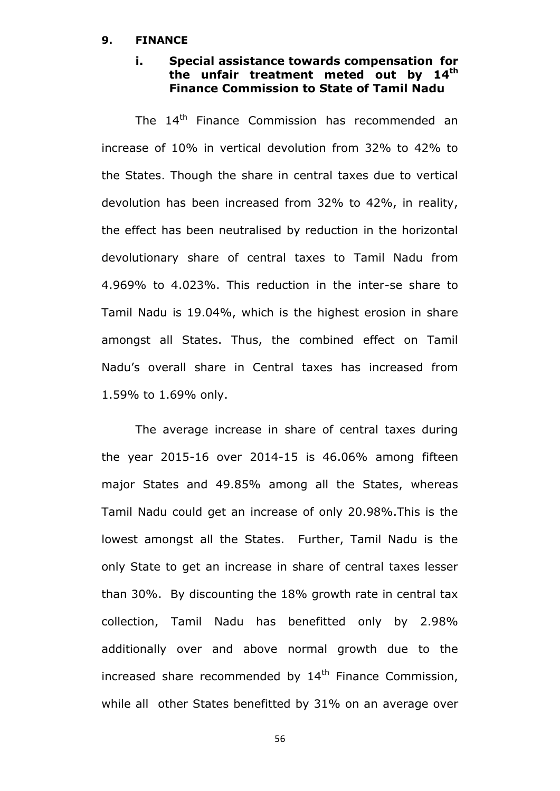#### **9. FINANCE**

## **i. Special assistance towards compensation for the unfair treatment meted out by 14th Finance Commission to State of Tamil Nadu**

The 14<sup>th</sup> Finance Commission has recommended an increase of 10% in vertical devolution from 32% to 42% to the States. Though the share in central taxes due to vertical devolution has been increased from 32% to 42%, in reality, the effect has been neutralised by reduction in the horizontal devolutionary share of central taxes to Tamil Nadu from 4.969% to 4.023%. This reduction in the inter-se share to Tamil Nadu is 19.04%, which is the highest erosion in share amongst all States. Thus, the combined effect on Tamil Nadu"s overall share in Central taxes has increased from 1.59% to 1.69% only.

The average increase in share of central taxes during the year 2015-16 over 2014-15 is 46.06% among fifteen major States and 49.85% among all the States, whereas Tamil Nadu could get an increase of only 20.98%.This is the lowest amongst all the States. Further, Tamil Nadu is the only State to get an increase in share of central taxes lesser than 30%. By discounting the 18% growth rate in central tax collection, Tamil Nadu has benefitted only by 2.98% additionally over and above normal growth due to the increased share recommended by  $14<sup>th</sup>$  Finance Commission, while all other States benefitted by 31% on an average over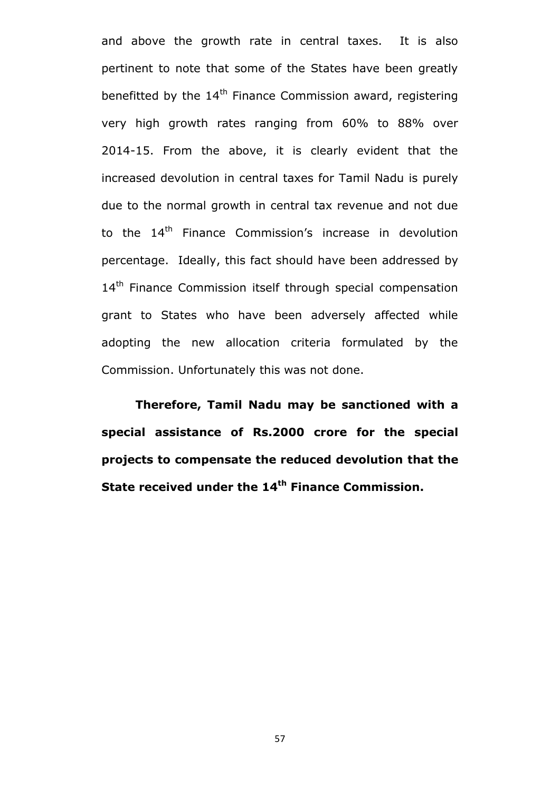and above the growth rate in central taxes. It is also pertinent to note that some of the States have been greatly benefitted by the  $14<sup>th</sup>$  Finance Commission award, registering very high growth rates ranging from 60% to 88% over 2014-15. From the above, it is clearly evident that the increased devolution in central taxes for Tamil Nadu is purely due to the normal growth in central tax revenue and not due to the  $14<sup>th</sup>$  Finance Commission's increase in devolution percentage. Ideally, this fact should have been addressed by 14<sup>th</sup> Finance Commission itself through special compensation grant to States who have been adversely affected while adopting the new allocation criteria formulated by the Commission. Unfortunately this was not done.

**Therefore, Tamil Nadu may be sanctioned with a special assistance of Rs.2000 crore for the special projects to compensate the reduced devolution that the State received under the 14th Finance Commission.**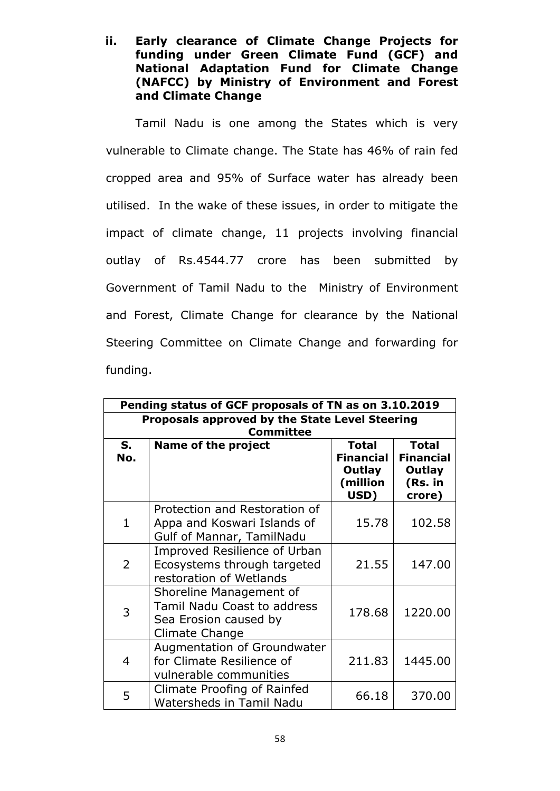**ii. Early clearance of Climate Change Projects for funding under Green Climate Fund (GCF) and National Adaptation Fund for Climate Change (NAFCC) by Ministry of Environment and Forest and Climate Change**

Tamil Nadu is one among the States which is very vulnerable to Climate change. The State has 46% of rain fed cropped area and 95% of Surface water has already been utilised. In the wake of these issues, in order to mitigate the impact of climate change, 11 projects involving financial outlay of Rs.4544.77 crore has been submitted by Government of Tamil Nadu to the Ministry of Environment and Forest, Climate Change for clearance by the National Steering Committee on Climate Change and forwarding for funding.

|                                                                    | Pending status of GCF proposals of TN as on 3.10.2019                                             |                                                                |                                                                 |
|--------------------------------------------------------------------|---------------------------------------------------------------------------------------------------|----------------------------------------------------------------|-----------------------------------------------------------------|
| Proposals approved by the State Level Steering<br><b>Committee</b> |                                                                                                   |                                                                |                                                                 |
| S.<br>No.                                                          | <b>Name of the project</b>                                                                        | <b>Total</b><br><b>Financial</b><br>Outlay<br>(million<br>USD) | <b>Total</b><br><b>Financial</b><br>Outlay<br>(Rs. in<br>crore) |
| $\mathbf{1}$                                                       | Protection and Restoration of<br>Appa and Koswari Islands of<br>Gulf of Mannar, TamilNadu         | 15.78                                                          | 102.58                                                          |
| $\overline{2}$                                                     | Improved Resilience of Urban<br>Ecosystems through targeted<br>restoration of Wetlands            | 21.55                                                          | 147.00                                                          |
| 3                                                                  | Shoreline Management of<br>Tamil Nadu Coast to address<br>Sea Erosion caused by<br>Climate Change | 178.68                                                         | 1220.00                                                         |
| $\overline{4}$                                                     | Augmentation of Groundwater<br>for Climate Resilience of<br>vulnerable communities                | 211.83                                                         | 1445.00                                                         |
| 5                                                                  | Climate Proofing of Rainfed<br><b>Watersheds in Tamil Nadu</b>                                    | 66.18                                                          | 370.00                                                          |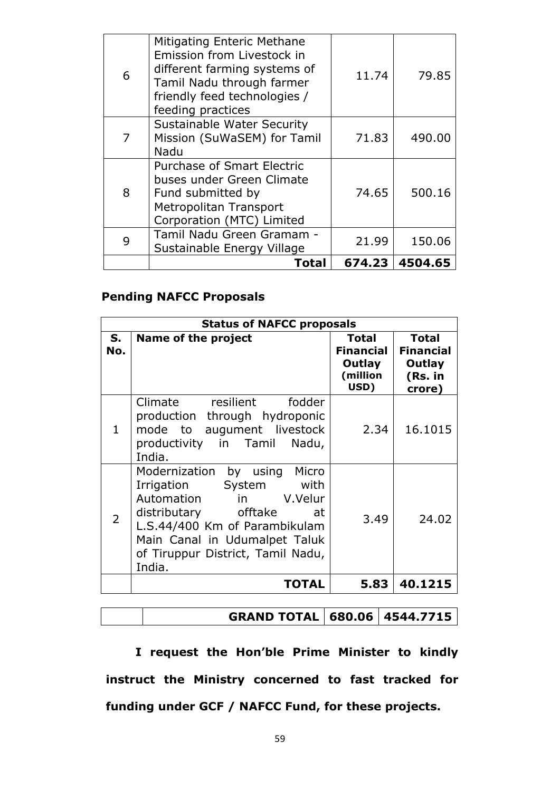|   | Total                                                                                                                                                                      | 674.23 | 4504.65 |
|---|----------------------------------------------------------------------------------------------------------------------------------------------------------------------------|--------|---------|
| 9 | Tamil Nadu Green Gramam -<br>Sustainable Energy Village                                                                                                                    | 21.99  | 150.06  |
| 8 | Fund submitted by<br>Metropolitan Transport<br>Corporation (MTC) Limited                                                                                                   | 74.65  | 500.16  |
|   | <b>Purchase of Smart Electric</b><br>buses under Green Climate                                                                                                             |        |         |
|   | <b>Sustainable Water Security</b><br>Mission (SuWaSEM) for Tamil<br>Nadu                                                                                                   | 71.83  | 490.00  |
| 6 | Mitigating Enteric Methane<br>Emission from Livestock in<br>different farming systems of<br>Tamil Nadu through farmer<br>friendly feed technologies /<br>feeding practices | 11.74  | 79.85   |

# **Pending NAFCC Proposals**

|                | <b>Status of NAFCC proposals</b>                                                                                                                                                                                                        |                                                                |                                                                 |
|----------------|-----------------------------------------------------------------------------------------------------------------------------------------------------------------------------------------------------------------------------------------|----------------------------------------------------------------|-----------------------------------------------------------------|
| $S_{1}$<br>No. | Name of the project                                                                                                                                                                                                                     | <b>Total</b><br><b>Financial</b><br>Outlay<br>(million<br>USD) | <b>Total</b><br><b>Financial</b><br>Outlay<br>(Rs. in<br>crore) |
| $\mathbf{1}$   | Climate resilient fodder<br>production through hydroponic<br>mode to augument livestock<br>productivity in Tamil<br>Nadu,<br>India.                                                                                                     | 2.34                                                           | 16.1015                                                         |
| 2              | Modernization by using<br>Micro<br>Irrigation System<br>with<br>Automation in<br>V.Velur<br>distributary offtake<br>at<br>L.S.44/400 Km of Parambikulam<br>Main Canal in Udumalpet Taluk<br>of Tiruppur District, Tamil Nadu,<br>India. | 3.49                                                           | 24.02                                                           |
|                | <b>TOTAL</b>                                                                                                                                                                                                                            | 5.83                                                           | 40.1215                                                         |

# **GRAND TOTAL 680.06 4544.7715**

**I request the Hon"ble Prime Minister to kindly instruct the Ministry concerned to fast tracked for funding under GCF / NAFCC Fund, for these projects.**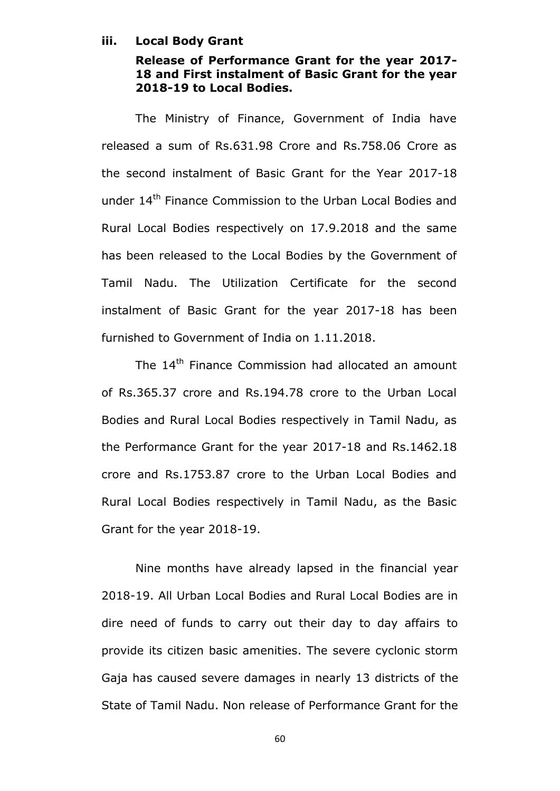### **iii. Local Body Grant**

# **Release of Performance Grant for the year 2017- 18 and First instalment of Basic Grant for the year 2018-19 to Local Bodies.**

The Ministry of Finance, Government of India have released a sum of Rs.631.98 Crore and Rs.758.06 Crore as the second instalment of Basic Grant for the Year 2017-18 under 14<sup>th</sup> Finance Commission to the Urban Local Bodies and Rural Local Bodies respectively on 17.9.2018 and the same has been released to the Local Bodies by the Government of Tamil Nadu. The Utilization Certificate for the second instalment of Basic Grant for the year 2017-18 has been furnished to Government of India on 1.11.2018.

The 14<sup>th</sup> Finance Commission had allocated an amount of Rs.365.37 crore and Rs.194.78 crore to the Urban Local Bodies and Rural Local Bodies respectively in Tamil Nadu, as the Performance Grant for the year 2017-18 and Rs.1462.18 crore and Rs.1753.87 crore to the Urban Local Bodies and Rural Local Bodies respectively in Tamil Nadu, as the Basic Grant for the year 2018-19.

Nine months have already lapsed in the financial year 2018-19. All Urban Local Bodies and Rural Local Bodies are in dire need of funds to carry out their day to day affairs to provide its citizen basic amenities. The severe cyclonic storm Gaja has caused severe damages in nearly 13 districts of the State of Tamil Nadu. Non release of Performance Grant for the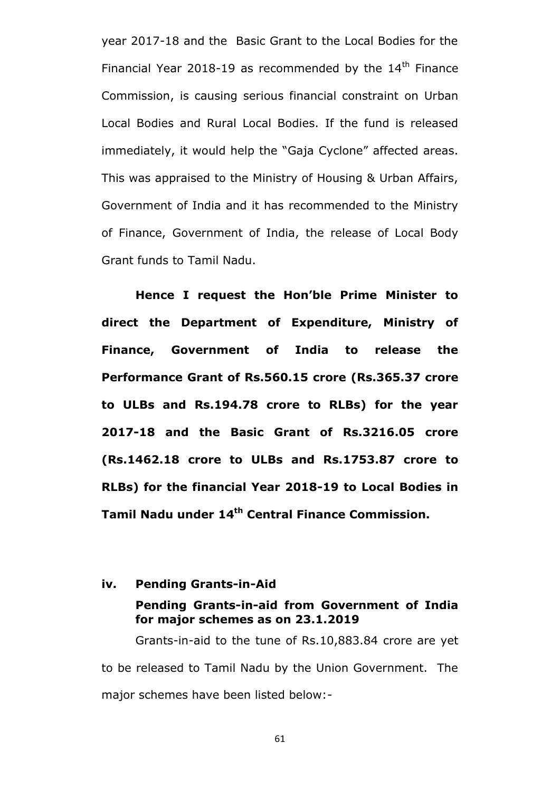year 2017-18 and the Basic Grant to the Local Bodies for the Financial Year 2018-19 as recommended by the  $14<sup>th</sup>$  Finance Commission, is causing serious financial constraint on Urban Local Bodies and Rural Local Bodies. If the fund is released immediately, it would help the "Gaja Cyclone" affected areas. This was appraised to the Ministry of Housing & Urban Affairs, Government of India and it has recommended to the Ministry of Finance, Government of India, the release of Local Body Grant funds to Tamil Nadu.

**Hence I request the Hon"ble Prime Minister to direct the Department of Expenditure, Ministry of Finance, Government of India to release the Performance Grant of Rs.560.15 crore (Rs.365.37 crore to ULBs and Rs.194.78 crore to RLBs) for the year 2017-18 and the Basic Grant of Rs.3216.05 crore (Rs.1462.18 crore to ULBs and Rs.1753.87 crore to RLBs) for the financial Year 2018-19 to Local Bodies in Tamil Nadu under 14th Central Finance Commission.**

### **iv. Pending Grants-in-Aid**

### **Pending Grants-in-aid from Government of India for major schemes as on 23.1.2019**

Grants-in-aid to the tune of Rs.10,883.84 crore are yet to be released to Tamil Nadu by the Union Government. The major schemes have been listed below:-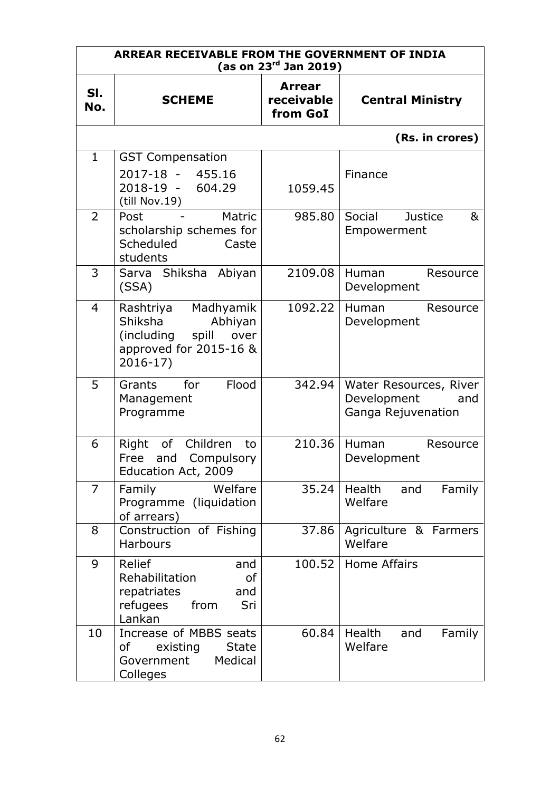| ARREAR RECEIVABLE FROM THE GOVERNMENT OF INDIA<br>(as on $23^{rd}$ Jan 2019) |                                                                                                                     |                                         |                                                                    |
|------------------------------------------------------------------------------|---------------------------------------------------------------------------------------------------------------------|-----------------------------------------|--------------------------------------------------------------------|
| SI.<br>No.                                                                   | <b>SCHEME</b>                                                                                                       | <b>Arrear</b><br>receivable<br>from GoI | <b>Central Ministry</b>                                            |
|                                                                              |                                                                                                                     |                                         | (Rs. in crores)                                                    |
| $\mathbf{1}$                                                                 | <b>GST Compensation</b><br>2017-18 - 455.16<br>2018-19 - 604.29<br>(till Nov.19)                                    | 1059.45                                 | Finance                                                            |
| $\overline{2}$                                                               | Matric<br>Post<br>scholarship schemes for<br>Scheduled<br>Caste<br>students                                         | 985.80                                  | Social<br><b>Justice</b><br>&<br>Empowerment                       |
| 3                                                                            | Sarva Shiksha Abiyan<br>(SSA)                                                                                       | 2109.08                                 | Human<br>Resource<br>Development                                   |
| $\overline{4}$                                                               | Madhyamik<br>Rashtriya<br>Shiksha<br>Abhiyan<br>(including<br>spill<br>over<br>approved for 2015-16 &<br>$2016-17)$ | 1092.22                                 | Human<br>Resource<br>Development                                   |
| 5                                                                            | Flood<br>Grants<br>for<br>Management<br>Programme                                                                   | 342.94                                  | Water Resources, River<br>Development<br>and<br>Ganga Rejuvenation |
| 6                                                                            | of<br>Children<br>Right<br>to<br>and Compulsory<br>Free<br>Education Act, 2009                                      | 210.36                                  | Human<br>Resource<br>Development                                   |
| $\overline{7}$                                                               | Welfare<br>Family<br>Programme (liquidation<br>of arrears)                                                          | 35.24                                   | Health<br>Family<br>and<br>Welfare                                 |
| 8                                                                            | Construction of Fishing<br><b>Harbours</b>                                                                          | 37.86                                   | Agriculture & Farmers<br>Welfare                                   |
| 9                                                                            | Relief<br>and<br>Rehabilitation<br><b>of</b><br>repatriates<br>and<br>refugees<br>from<br>Sri<br>Lankan             |                                         | 100.52 Home Affairs                                                |
| 10                                                                           | Increase of MBBS seats<br>existing<br><b>State</b><br>of<br>Medical<br>Government<br>Colleges                       | 60.84                                   | Health<br>Family<br>and<br>Welfare                                 |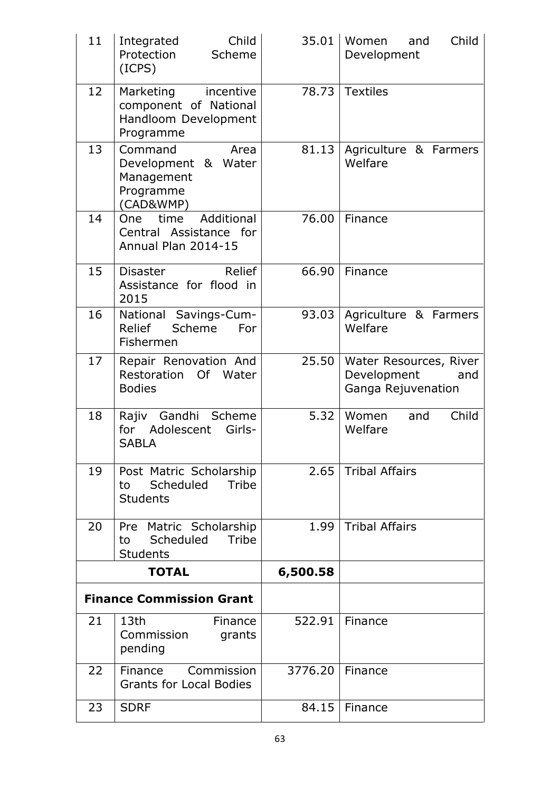| 11                              | Child<br>Integrated<br>Protection<br>Scheme<br>(ICPS)                             | 35.01    | Child<br>Women<br>and<br>Development                               |
|---------------------------------|-----------------------------------------------------------------------------------|----------|--------------------------------------------------------------------|
| 12                              | Marketing incentive<br>component of National<br>Handloom Development<br>Programme |          | 78.73 Textiles                                                     |
| 13                              | Command<br>Area<br>Development & Water<br>Management<br>Programme<br>(CAD&WMP)    | 81.13    | Agriculture & Farmers<br>Welfare                                   |
| 14                              | Additional<br>One<br>time<br>Central Assistance for<br>Annual Plan 2014-15        | 76.00    | Finance                                                            |
| 15                              | Relief<br>Disaster<br>Assistance for flood in<br>2015                             | 66.90    | Finance                                                            |
| 16                              | National Savings-Cum-<br>Scheme<br>Relief<br>For<br>Fishermen                     | 93.03    | Agriculture & Farmers<br>Welfare                                   |
| 17                              | Repair Renovation And<br>Restoration Of Water<br><b>Bodies</b>                    | 25.50    | Water Resources, River<br>Development<br>and<br>Ganga Rejuvenation |
| 18                              | Gandhi Scheme<br>Rajiv<br>Adolescent<br>Girls-<br>for<br><b>SABLA</b>             | 5.32     | Child<br>Women<br>and<br>Welfare                                   |
| 19                              | Post Matric Scholarship<br>Scheduled<br>Tribe<br>to<br><b>Students</b>            | 2.65     | <b>Tribal Affairs</b>                                              |
| 20                              | Pre Matric Scholarship<br>Scheduled<br>Tribe<br>to<br><b>Students</b>             | 1.99     | <b>Tribal Affairs</b>                                              |
|                                 | <b>TOTAL</b>                                                                      | 6,500.58 |                                                                    |
| <b>Finance Commission Grant</b> |                                                                                   |          |                                                                    |
| 21                              | 13th<br>Finance<br>Commission<br>grants<br>pending                                | 522.91   | Finance                                                            |
| 22                              | Finance<br>Commission<br><b>Grants for Local Bodies</b>                           | 3776.20  | Finance                                                            |
| 23                              | <b>SDRF</b>                                                                       | 84.15    | Finance                                                            |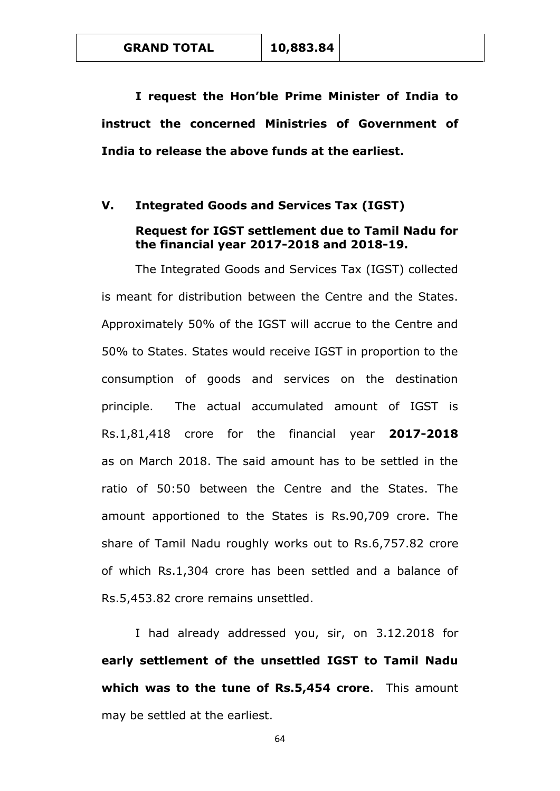**GRAND TOTAL 10,883.84**

**I request the Hon"ble Prime Minister of India to instruct the concerned Ministries of Government of India to release the above funds at the earliest.**

### **V. Integrated Goods and Services Tax (IGST)**

# **Request for IGST settlement due to Tamil Nadu for the financial year 2017-2018 and 2018-19.**

The Integrated Goods and Services Tax (IGST) collected is meant for distribution between the Centre and the States. Approximately 50% of the IGST will accrue to the Centre and 50% to States. States would receive IGST in proportion to the consumption of goods and services on the destination principle. The actual accumulated amount of IGST is Rs.1,81,418 crore for the financial year **2017-2018** as on March 2018. The said amount has to be settled in the ratio of 50:50 between the Centre and the States. The amount apportioned to the States is Rs.90,709 crore. The share of Tamil Nadu roughly works out to Rs.6,757.82 crore of which Rs.1,304 crore has been settled and a balance of Rs.5,453.82 crore remains unsettled.

I had already addressed you, sir, on 3.12.2018 for **early settlement of the unsettled IGST to Tamil Nadu which was to the tune of Rs.5,454 crore**. This amount may be settled at the earliest.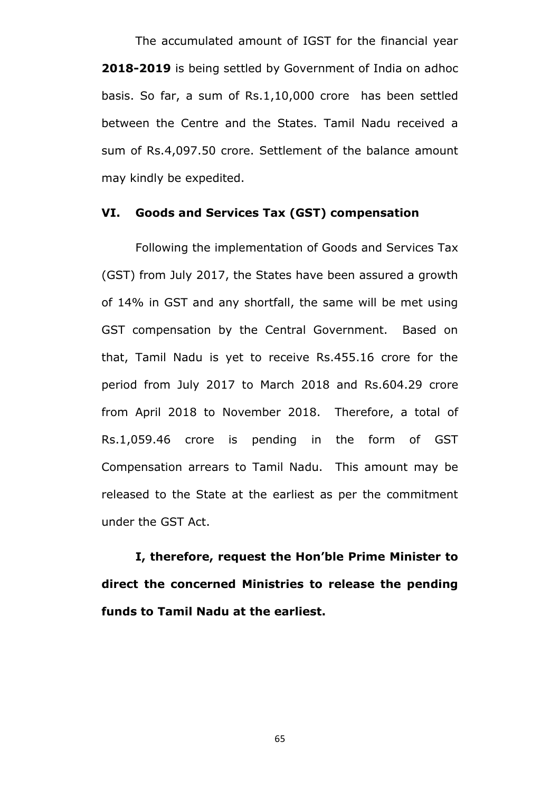The accumulated amount of IGST for the financial year **2018-2019** is being settled by Government of India on adhoc basis. So far, a sum of Rs.1,10,000 crore has been settled between the Centre and the States. Tamil Nadu received a sum of Rs.4,097.50 crore. Settlement of the balance amount may kindly be expedited.

### **VI. Goods and Services Tax (GST) compensation**

Following the implementation of Goods and Services Tax (GST) from July 2017, the States have been assured a growth of 14% in GST and any shortfall, the same will be met using GST compensation by the Central Government. Based on that, Tamil Nadu is yet to receive Rs.455.16 crore for the period from July 2017 to March 2018 and Rs.604.29 crore from April 2018 to November 2018. Therefore, a total of Rs.1,059.46 crore is pending in the form of GST Compensation arrears to Tamil Nadu. This amount may be released to the State at the earliest as per the commitment under the GST Act.

**I, therefore, request the Hon"ble Prime Minister to direct the concerned Ministries to release the pending funds to Tamil Nadu at the earliest.**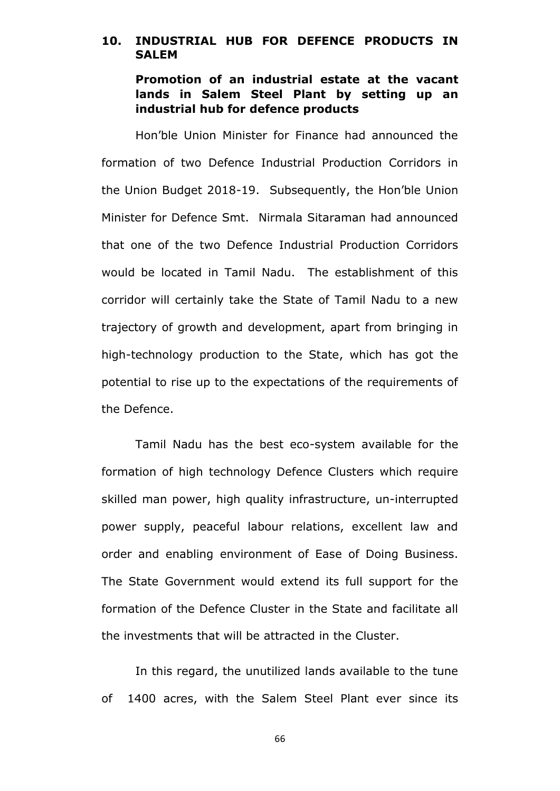# **10. INDUSTRIAL HUB FOR DEFENCE PRODUCTS IN SALEM**

**Promotion of an industrial estate at the vacant lands in Salem Steel Plant by setting up an industrial hub for defence products** 

Hon"ble Union Minister for Finance had announced the formation of two Defence Industrial Production Corridors in the Union Budget 2018-19. Subsequently, the Hon"ble Union Minister for Defence Smt. Nirmala Sitaraman had announced that one of the two Defence Industrial Production Corridors would be located in Tamil Nadu. The establishment of this corridor will certainly take the State of Tamil Nadu to a new trajectory of growth and development, apart from bringing in high-technology production to the State, which has got the potential to rise up to the expectations of the requirements of the Defence.

Tamil Nadu has the best eco-system available for the formation of high technology Defence Clusters which require skilled man power, high quality infrastructure, un-interrupted power supply, peaceful labour relations, excellent law and order and enabling environment of Ease of Doing Business. The State Government would extend its full support for the formation of the Defence Cluster in the State and facilitate all the investments that will be attracted in the Cluster.

In this regard, the unutilized lands available to the tune of 1400 acres, with the Salem Steel Plant ever since its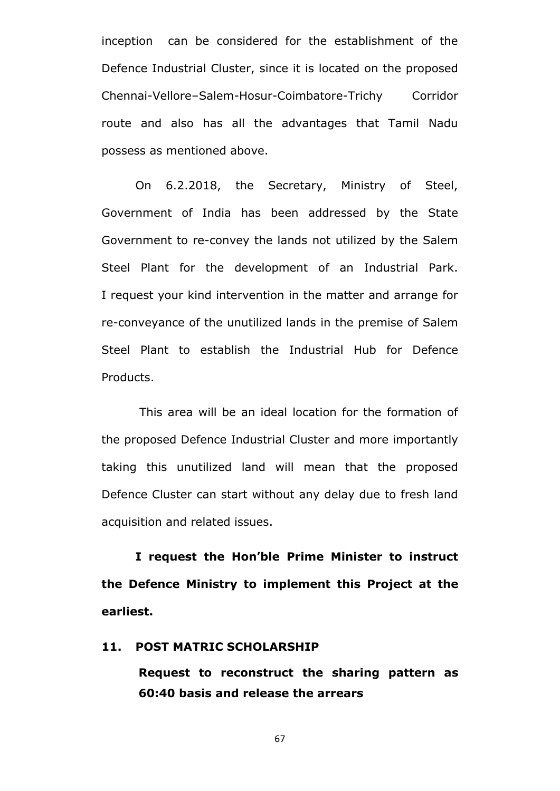inception can be considered for the establishment of the Defence Industrial Cluster, since it is located on the proposed Chennai-Vellore–Salem-Hosur-Coimbatore-Trichy Corridor route and also has all the advantages that Tamil Nadu possess as mentioned above.

On 6.2.2018, the Secretary, Ministry of Steel, Government of India has been addressed by the State Government to re-convey the lands not utilized by the Salem Steel Plant for the development of an Industrial Park. I request your kind intervention in the matter and arrange for re-conveyance of the unutilized lands in the premise of Salem Steel Plant to establish the Industrial Hub for Defence Products.

This area will be an ideal location for the formation of the proposed Defence Industrial Cluster and more importantly taking this unutilized land will mean that the proposed Defence Cluster can start without any delay due to fresh land acquisition and related issues.

**I request the Hon"ble Prime Minister to instruct the Defence Ministry to implement this Project at the earliest.**

### **11. POST MATRIC SCHOLARSHIP**

**Request to reconstruct the sharing pattern as 60:40 basis and release the arrears**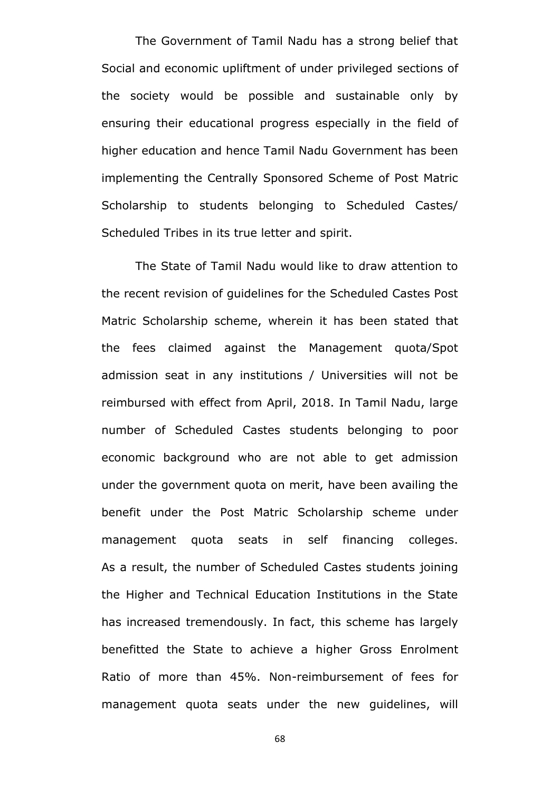The Government of Tamil Nadu has a strong belief that Social and economic upliftment of under privileged sections of the society would be possible and sustainable only by ensuring their educational progress especially in the field of higher education and hence Tamil Nadu Government has been implementing the Centrally Sponsored Scheme of Post Matric Scholarship to students belonging to Scheduled Castes/ Scheduled Tribes in its true letter and spirit.

The State of Tamil Nadu would like to draw attention to the recent revision of guidelines for the Scheduled Castes Post Matric Scholarship scheme, wherein it has been stated that the fees claimed against the Management quota/Spot admission seat in any institutions / Universities will not be reimbursed with effect from April, 2018. In Tamil Nadu, large number of Scheduled Castes students belonging to poor economic background who are not able to get admission under the government quota on merit, have been availing the benefit under the Post Matric Scholarship scheme under management quota seats in self financing colleges. As a result, the number of Scheduled Castes students joining the Higher and Technical Education Institutions in the State has increased tremendously. In fact, this scheme has largely benefitted the State to achieve a higher Gross Enrolment Ratio of more than 45%. Non-reimbursement of fees for management quota seats under the new guidelines, will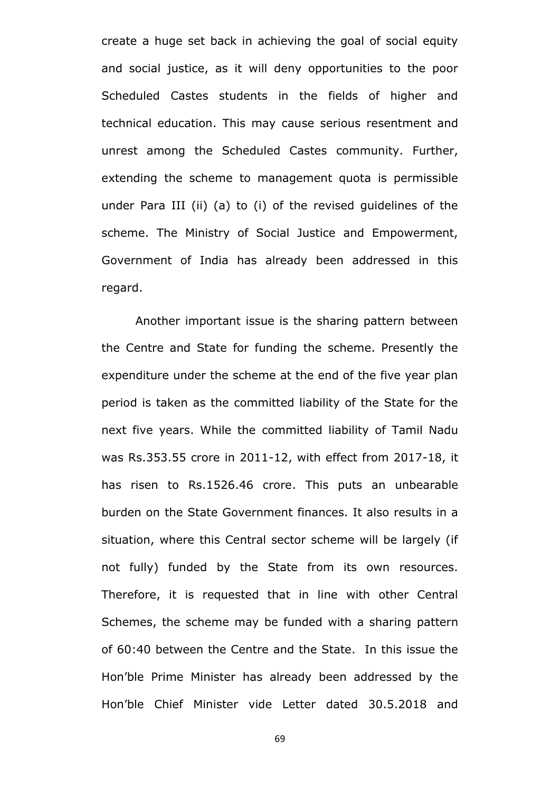create a huge set back in achieving the goal of social equity and social justice, as it will deny opportunities to the poor Scheduled Castes students in the fields of higher and technical education. This may cause serious resentment and unrest among the Scheduled Castes community. Further, extending the scheme to management quota is permissible under Para III (ii) (a) to (i) of the revised guidelines of the scheme. The Ministry of Social Justice and Empowerment, Government of India has already been addressed in this regard.

Another important issue is the sharing pattern between the Centre and State for funding the scheme. Presently the expenditure under the scheme at the end of the five year plan period is taken as the committed liability of the State for the next five years. While the committed liability of Tamil Nadu was Rs.353.55 crore in 2011-12, with effect from 2017-18, it has risen to Rs.1526.46 crore. This puts an unbearable burden on the State Government finances. It also results in a situation, where this Central sector scheme will be largely (if not fully) funded by the State from its own resources. Therefore, it is requested that in line with other Central Schemes, the scheme may be funded with a sharing pattern of 60:40 between the Centre and the State. In this issue the Hon"ble Prime Minister has already been addressed by the Hon"ble Chief Minister vide Letter dated 30.5.2018 and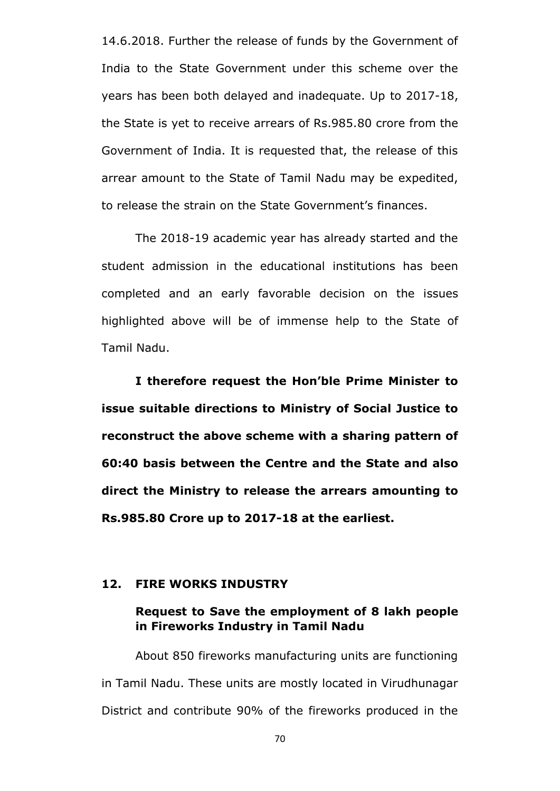14.6.2018. Further the release of funds by the Government of India to the State Government under this scheme over the years has been both delayed and inadequate. Up to 2017-18, the State is yet to receive arrears of Rs.985.80 crore from the Government of India. It is requested that, the release of this arrear amount to the State of Tamil Nadu may be expedited, to release the strain on the State Government's finances.

The 2018-19 academic year has already started and the student admission in the educational institutions has been completed and an early favorable decision on the issues highlighted above will be of immense help to the State of Tamil Nadu.

**I therefore request the Hon"ble Prime Minister to issue suitable directions to Ministry of Social Justice to reconstruct the above scheme with a sharing pattern of 60:40 basis between the Centre and the State and also direct the Ministry to release the arrears amounting to Rs.985.80 Crore up to 2017-18 at the earliest.** 

### **12. FIRE WORKS INDUSTRY**

# **Request to Save the employment of 8 lakh people in Fireworks Industry in Tamil Nadu**

About 850 fireworks manufacturing units are functioning in Tamil Nadu. These units are mostly located in Virudhunagar District and contribute 90% of the fireworks produced in the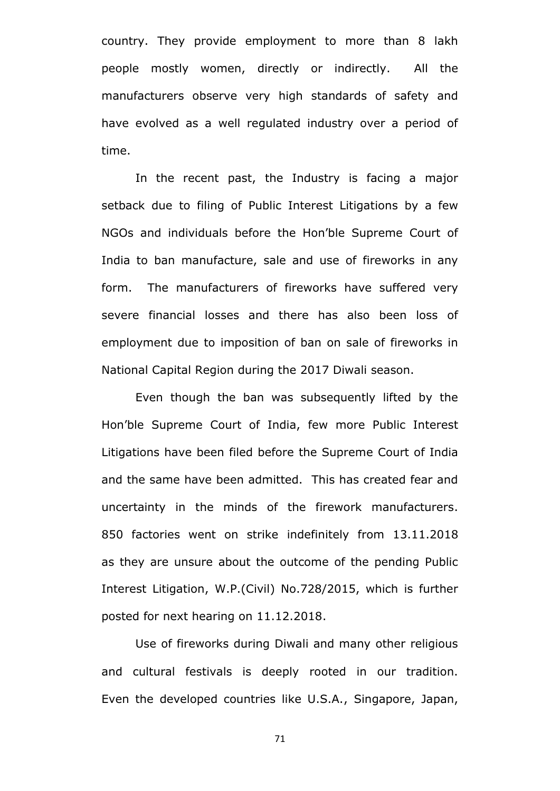country. They provide employment to more than 8 lakh people mostly women, directly or indirectly. All the manufacturers observe very high standards of safety and have evolved as a well regulated industry over a period of time.

In the recent past, the Industry is facing a major setback due to filing of Public Interest Litigations by a few NGOs and individuals before the Hon"ble Supreme Court of India to ban manufacture, sale and use of fireworks in any form. The manufacturers of fireworks have suffered very severe financial losses and there has also been loss of employment due to imposition of ban on sale of fireworks in National Capital Region during the 2017 Diwali season.

Even though the ban was subsequently lifted by the Hon"ble Supreme Court of India, few more Public Interest Litigations have been filed before the Supreme Court of India and the same have been admitted. This has created fear and uncertainty in the minds of the firework manufacturers. 850 factories went on strike indefinitely from 13.11.2018 as they are unsure about the outcome of the pending Public Interest Litigation, W.P.(Civil) No.728/2015, which is further posted for next hearing on 11.12.2018.

Use of fireworks during Diwali and many other religious and cultural festivals is deeply rooted in our tradition. Even the developed countries like U.S.A., Singapore, Japan,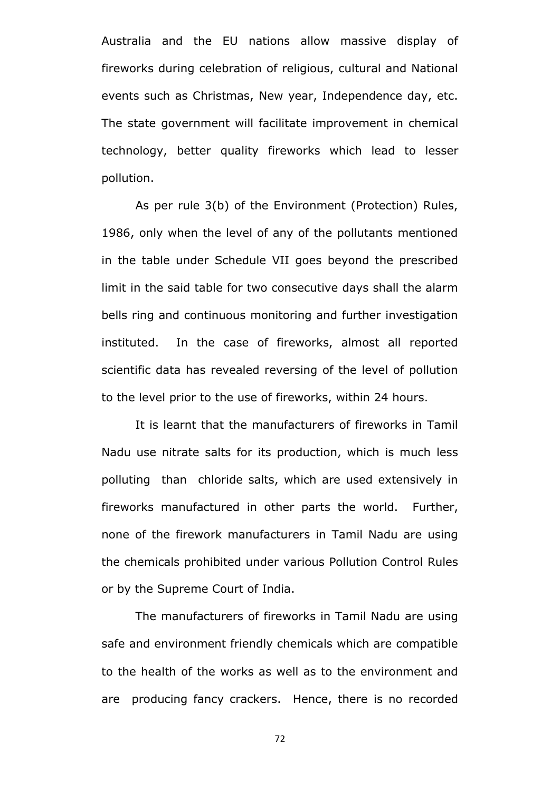Australia and the EU nations allow massive display of fireworks during celebration of religious, cultural and National events such as Christmas, New year, Independence day, etc. The state government will facilitate improvement in chemical technology, better quality fireworks which lead to lesser pollution.

As per rule 3(b) of the Environment (Protection) Rules, 1986, only when the level of any of the pollutants mentioned in the table under Schedule VII goes beyond the prescribed limit in the said table for two consecutive days shall the alarm bells ring and continuous monitoring and further investigation instituted. In the case of fireworks, almost all reported scientific data has revealed reversing of the level of pollution to the level prior to the use of fireworks, within 24 hours.

It is learnt that the manufacturers of fireworks in Tamil Nadu use nitrate salts for its production, which is much less polluting than chloride salts, which are used extensively in fireworks manufactured in other parts the world. Further, none of the firework manufacturers in Tamil Nadu are using the chemicals prohibited under various Pollution Control Rules or by the Supreme Court of India.

The manufacturers of fireworks in Tamil Nadu are using safe and environment friendly chemicals which are compatible to the health of the works as well as to the environment and are producing fancy crackers. Hence, there is no recorded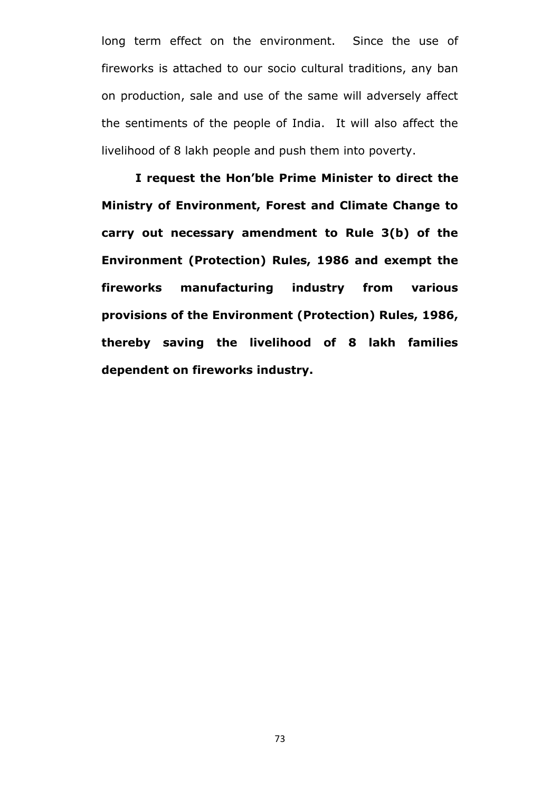long term effect on the environment. Since the use of fireworks is attached to our socio cultural traditions, any ban on production, sale and use of the same will adversely affect the sentiments of the people of India. It will also affect the livelihood of 8 lakh people and push them into poverty.

**I request the Hon"ble Prime Minister to direct the Ministry of Environment, Forest and Climate Change to carry out necessary amendment to Rule 3(b) of the Environment (Protection) Rules, 1986 and exempt the fireworks manufacturing industry from various provisions of the Environment (Protection) Rules, 1986, thereby saving the livelihood of 8 lakh families dependent on fireworks industry.**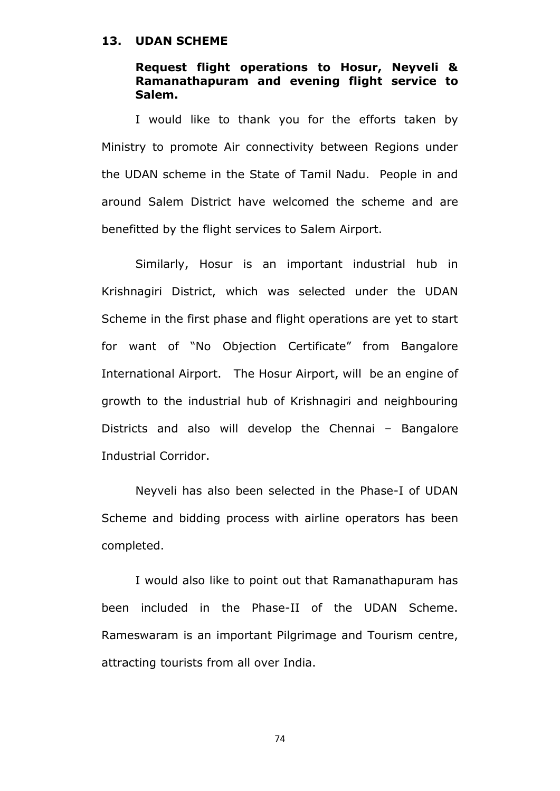### **13. UDAN SCHEME**

# **Request flight operations to Hosur, Neyveli & Ramanathapuram and evening flight service to Salem.**

I would like to thank you for the efforts taken by Ministry to promote Air connectivity between Regions under the UDAN scheme in the State of Tamil Nadu. People in and around Salem District have welcomed the scheme and are benefitted by the flight services to Salem Airport.

Similarly, Hosur is an important industrial hub in Krishnagiri District, which was selected under the UDAN Scheme in the first phase and flight operations are yet to start for want of "No Objection Certificate" from Bangalore International Airport. The Hosur Airport, will be an engine of growth to the industrial hub of Krishnagiri and neighbouring Districts and also will develop the Chennai – Bangalore Industrial Corridor.

Neyveli has also been selected in the Phase-I of UDAN Scheme and bidding process with airline operators has been completed.

I would also like to point out that Ramanathapuram has been included in the Phase-II of the UDAN Scheme. Rameswaram is an important Pilgrimage and Tourism centre, attracting tourists from all over India.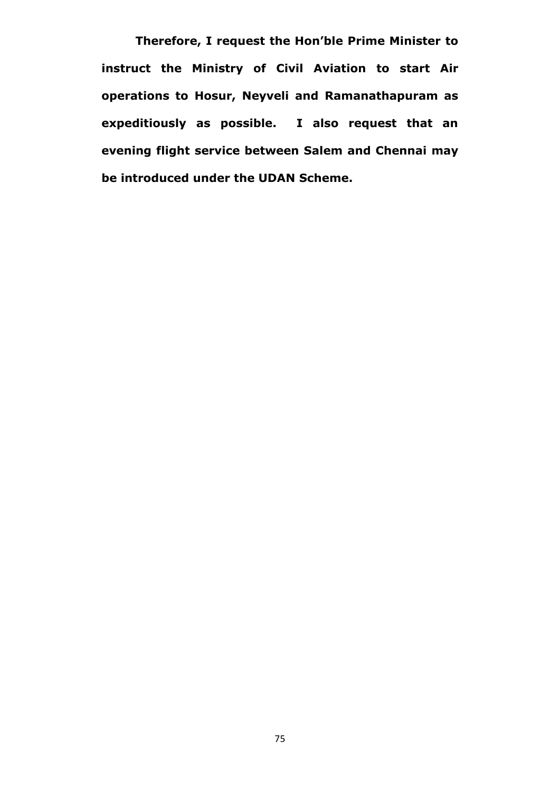**Therefore, I request the Hon"ble Prime Minister to instruct the Ministry of Civil Aviation to start Air operations to Hosur, Neyveli and Ramanathapuram as expeditiously as possible. I also request that an evening flight service between Salem and Chennai may be introduced under the UDAN Scheme.**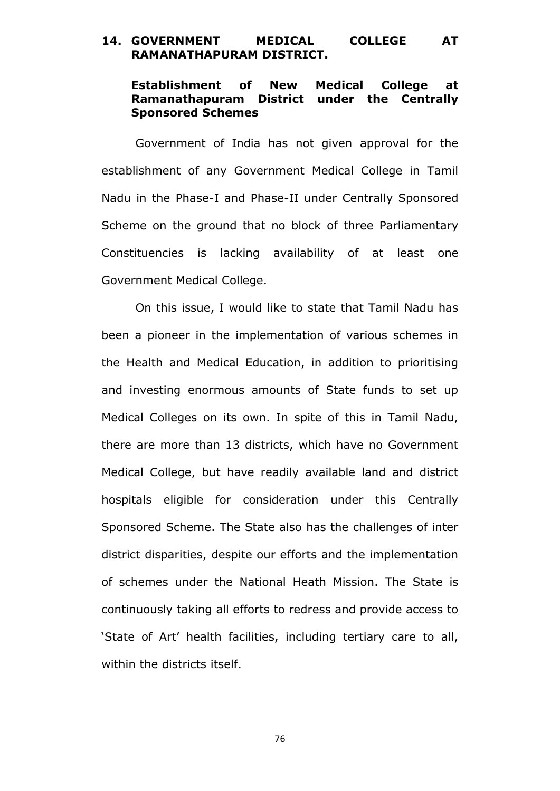# **14. GOVERNMENT MEDICAL COLLEGE AT RAMANATHAPURAM DISTRICT.**

# **Establishment of New Medical College at Ramanathapuram District under the Centrally Sponsored Schemes**

Government of India has not given approval for the establishment of any Government Medical College in Tamil Nadu in the Phase-I and Phase-II under Centrally Sponsored Scheme on the ground that no block of three Parliamentary Constituencies is lacking availability of at least one Government Medical College.

On this issue, I would like to state that Tamil Nadu has been a pioneer in the implementation of various schemes in the Health and Medical Education, in addition to prioritising and investing enormous amounts of State funds to set up Medical Colleges on its own. In spite of this in Tamil Nadu, there are more than 13 districts, which have no Government Medical College, but have readily available land and district hospitals eligible for consideration under this Centrally Sponsored Scheme. The State also has the challenges of inter district disparities, despite our efforts and the implementation of schemes under the National Heath Mission. The State is continuously taking all efforts to redress and provide access to "State of Art" health facilities, including tertiary care to all, within the districts itself.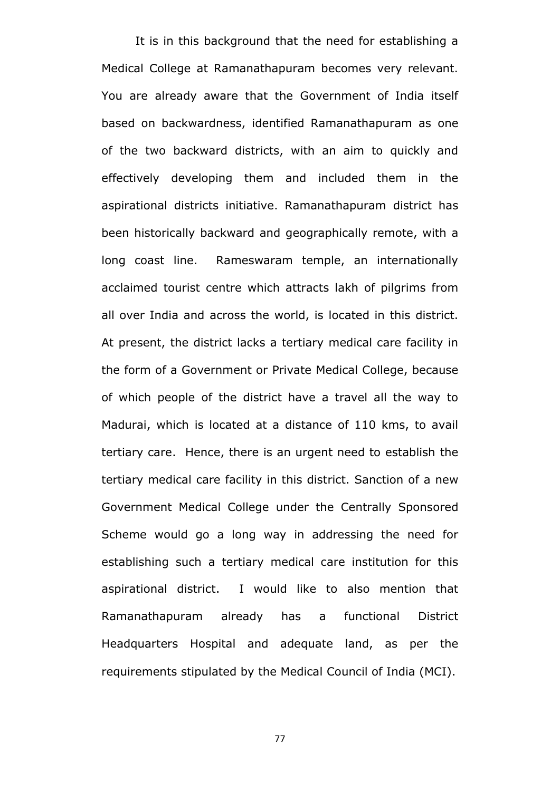It is in this background that the need for establishing a Medical College at Ramanathapuram becomes very relevant. You are already aware that the Government of India itself based on backwardness, identified Ramanathapuram as one of the two backward districts, with an aim to quickly and effectively developing them and included them in the aspirational districts initiative. Ramanathapuram district has been historically backward and geographically remote, with a long coast line. Rameswaram temple, an internationally acclaimed tourist centre which attracts lakh of pilgrims from all over India and across the world, is located in this district. At present, the district lacks a tertiary medical care facility in the form of a Government or Private Medical College, because of which people of the district have a travel all the way to Madurai, which is located at a distance of 110 kms, to avail tertiary care. Hence, there is an urgent need to establish the tertiary medical care facility in this district. Sanction of a new Government Medical College under the Centrally Sponsored Scheme would go a long way in addressing the need for establishing such a tertiary medical care institution for this aspirational district. I would like to also mention that Ramanathapuram already has a functional District Headquarters Hospital and adequate land, as per the requirements stipulated by the Medical Council of India (MCI).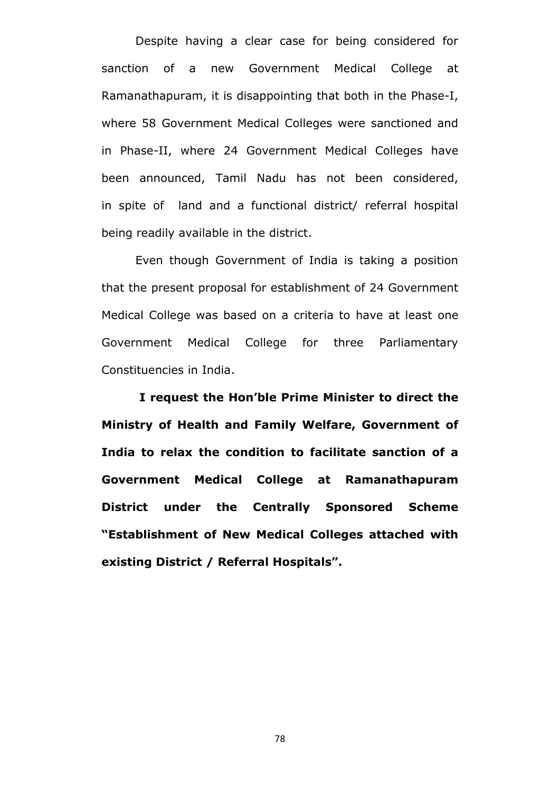Despite having a clear case for being considered for sanction of a new Government Medical College at Ramanathapuram, it is disappointing that both in the Phase-I, where 58 Government Medical Colleges were sanctioned and in Phase-II, where 24 Government Medical Colleges have been announced, Tamil Nadu has not been considered, in spite of land and a functional district/ referral hospital being readily available in the district.

Even though Government of India is taking a position that the present proposal for establishment of 24 Government Medical College was based on a criteria to have at least one Government Medical College for three Parliamentary Constituencies in India.

**I request the Hon"ble Prime Minister to direct the Ministry of Health and Family Welfare, Government of India to relax the condition to facilitate sanction of a Government Medical College at Ramanathapuram District under the Centrally Sponsored Scheme "Establishment of New Medical Colleges attached with existing District / Referral Hospitals".**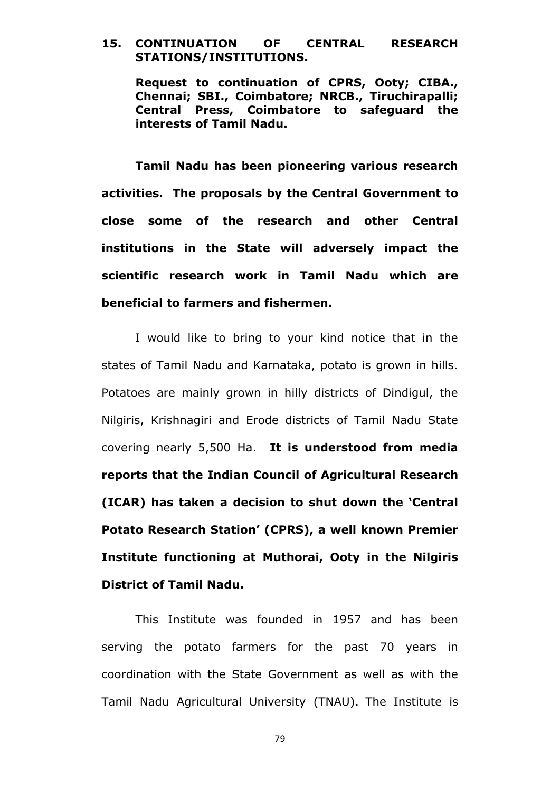## **15. CONTINUATION OF CENTRAL RESEARCH STATIONS/INSTITUTIONS.**

**Request to continuation of CPRS, Ooty; CIBA., Chennai; SBI., Coimbatore; NRCB., Tiruchirapalli; Central Press, Coimbatore to safeguard the interests of Tamil Nadu.** 

**Tamil Nadu has been pioneering various research activities. The proposals by the Central Government to close some of the research and other Central institutions in the State will adversely impact the scientific research work in Tamil Nadu which are beneficial to farmers and fishermen.** 

I would like to bring to your kind notice that in the states of Tamil Nadu and Karnataka, potato is grown in hills. Potatoes are mainly grown in hilly districts of Dindigul, the Nilgiris, Krishnagiri and Erode districts of Tamil Nadu State covering nearly 5,500 Ha. **It is understood from media reports that the Indian Council of Agricultural Research (ICAR) has taken a decision to shut down the "Central Potato Research Station" (CPRS), a well known Premier Institute functioning at Muthorai, Ooty in the Nilgiris District of Tamil Nadu.**

This Institute was founded in 1957 and has been serving the potato farmers for the past 70 years in coordination with the State Government as well as with the Tamil Nadu Agricultural University (TNAU). The Institute is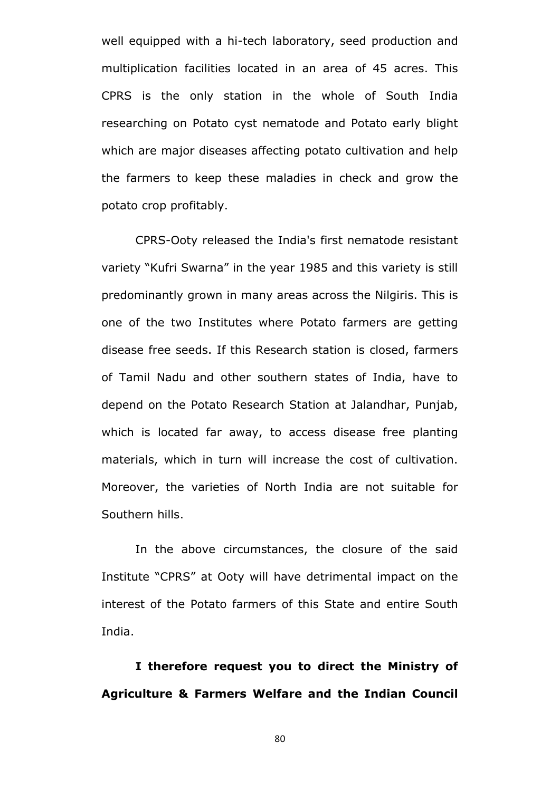well equipped with a hi-tech laboratory, seed production and multiplication facilities located in an area of 45 acres. This CPRS is the only station in the whole of South India researching on Potato cyst nematode and Potato early blight which are major diseases affecting potato cultivation and help the farmers to keep these maladies in check and grow the potato crop profitably.

CPRS-Ooty released the India's first nematode resistant variety "Kufri Swarna" in the year 1985 and this variety is still predominantly grown in many areas across the Nilgiris. This is one of the two Institutes where Potato farmers are getting disease free seeds. If this Research station is closed, farmers of Tamil Nadu and other southern states of India, have to depend on the Potato Research Station at Jalandhar, Punjab, which is located far away, to access disease free planting materials, which in turn will increase the cost of cultivation. Moreover, the varieties of North India are not suitable for Southern hills.

In the above circumstances, the closure of the said Institute "CPRS" at Ooty will have detrimental impact on the interest of the Potato farmers of this State and entire South India.

**I therefore request you to direct the Ministry of Agriculture & Farmers Welfare and the Indian Council**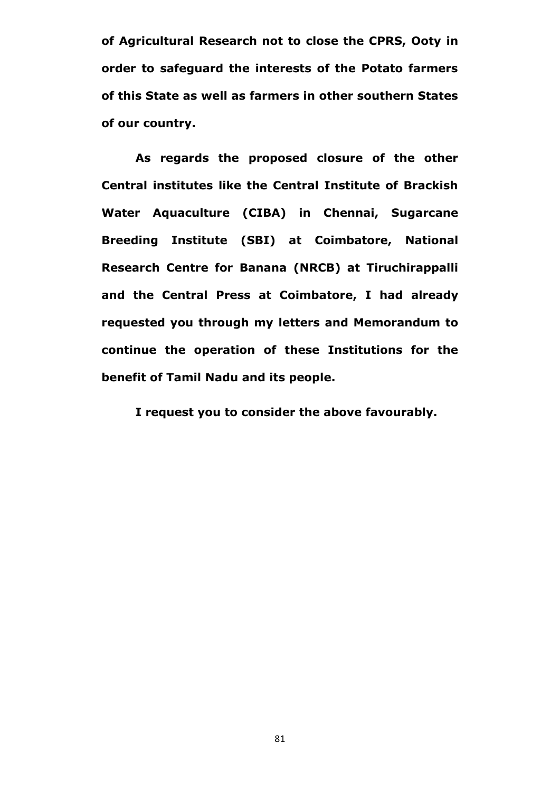**of Agricultural Research not to close the CPRS, Ooty in order to safeguard the interests of the Potato farmers of this State as well as farmers in other southern States of our country.**

**As regards the proposed closure of the other Central institutes like the Central Institute of Brackish Water Aquaculture (CIBA) in Chennai, Sugarcane Breeding Institute (SBI) at Coimbatore, National Research Centre for Banana (NRCB) at Tiruchirappalli and the Central Press at Coimbatore, I had already requested you through my letters and Memorandum to continue the operation of these Institutions for the benefit of Tamil Nadu and its people.** 

**I request you to consider the above favourably.**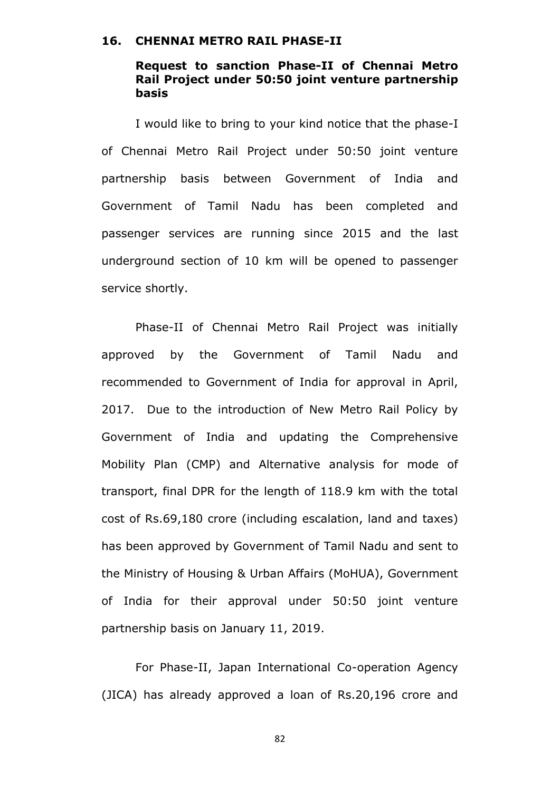### **16. CHENNAI METRO RAIL PHASE-II**

## **Request to sanction Phase-II of Chennai Metro Rail Project under 50:50 joint venture partnership basis**

I would like to bring to your kind notice that the phase-I of Chennai Metro Rail Project under 50:50 joint venture partnership basis between Government of India and Government of Tamil Nadu has been completed and passenger services are running since 2015 and the last underground section of 10 km will be opened to passenger service shortly.

Phase-II of Chennai Metro Rail Project was initially approved by the Government of Tamil Nadu and recommended to Government of India for approval in April, 2017. Due to the introduction of New Metro Rail Policy by Government of India and updating the Comprehensive Mobility Plan (CMP) and Alternative analysis for mode of transport, final DPR for the length of 118.9 km with the total cost of Rs.69,180 crore (including escalation, land and taxes) has been approved by Government of Tamil Nadu and sent to the Ministry of Housing & Urban Affairs (MoHUA), Government of India for their approval under 50:50 joint venture partnership basis on January 11, 2019.

For Phase-II, Japan International Co-operation Agency (JICA) has already approved a loan of Rs.20,196 crore and